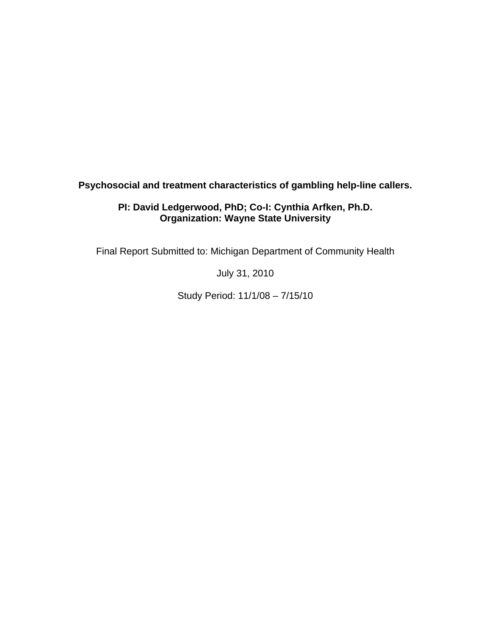**Psychosocial and treatment characteristics of gambling help-line callers.** 

# **PI: David Ledgerwood, PhD; Co-I: Cynthia Arfken, Ph.D. Organization: Wayne State University**

Final Report Submitted to: Michigan Department of Community Health

July 31, 2010

Study Period: 11/1/08 – 7/15/10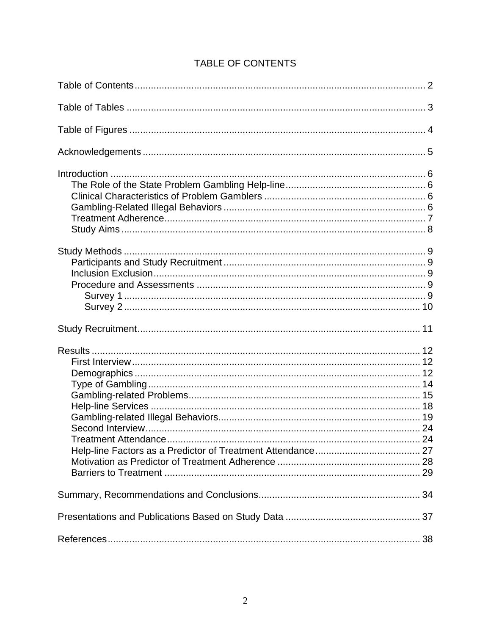# TABLE OF CONTENTS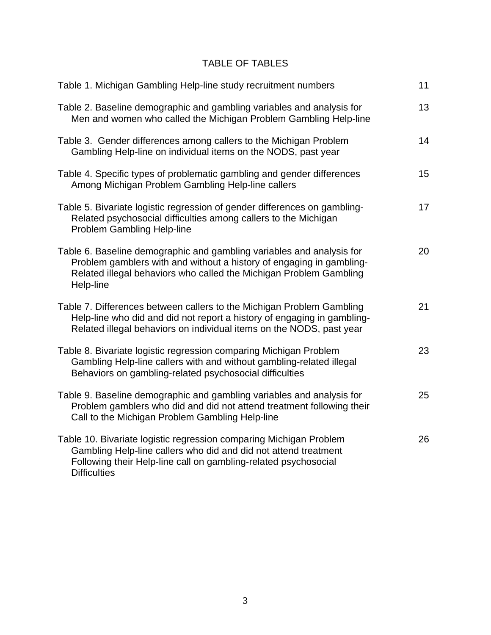# TABLE OF TABLES

| Table 1. Michigan Gambling Help-line study recruitment numbers                                                                                                                                                                   | 11 |
|----------------------------------------------------------------------------------------------------------------------------------------------------------------------------------------------------------------------------------|----|
| Table 2. Baseline demographic and gambling variables and analysis for<br>Men and women who called the Michigan Problem Gambling Help-line                                                                                        | 13 |
| Table 3. Gender differences among callers to the Michigan Problem<br>Gambling Help-line on individual items on the NODS, past year                                                                                               | 14 |
| Table 4. Specific types of problematic gambling and gender differences<br>Among Michigan Problem Gambling Help-line callers                                                                                                      | 15 |
| Table 5. Bivariate logistic regression of gender differences on gambling-<br>Related psychosocial difficulties among callers to the Michigan<br>Problem Gambling Help-line                                                       | 17 |
| Table 6. Baseline demographic and gambling variables and analysis for<br>Problem gamblers with and without a history of engaging in gambling-<br>Related illegal behaviors who called the Michigan Problem Gambling<br>Help-line | 20 |
| Table 7. Differences between callers to the Michigan Problem Gambling<br>Help-line who did and did not report a history of engaging in gambling-<br>Related illegal behaviors on individual items on the NODS, past year         | 21 |
| Table 8. Bivariate logistic regression comparing Michigan Problem<br>Gambling Help-line callers with and without gambling-related illegal<br>Behaviors on gambling-related psychosocial difficulties                             | 23 |
| Table 9. Baseline demographic and gambling variables and analysis for<br>Problem gamblers who did and did not attend treatment following their<br>Call to the Michigan Problem Gambling Help-line                                | 25 |
| Table 10. Bivariate logistic regression comparing Michigan Problem<br>Gambling Help-line callers who did and did not attend treatment<br>Following their Help-line call on gambling-related psychosocial<br><b>Difficulties</b>  | 26 |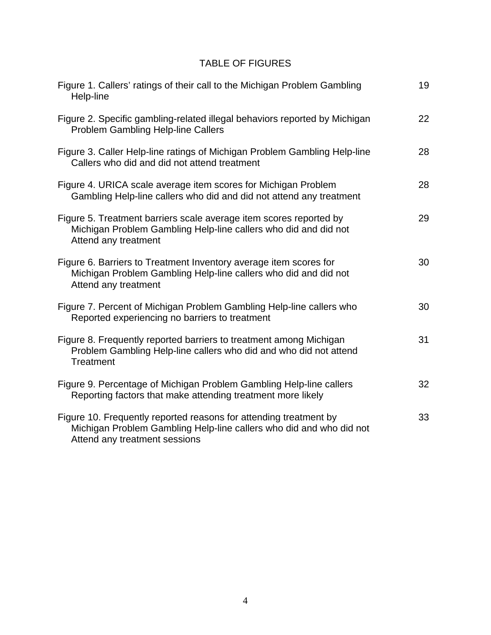# TABLE OF FIGURES

| Figure 1. Callers' ratings of their call to the Michigan Problem Gambling<br>Help-line                                                                                    | 19 |
|---------------------------------------------------------------------------------------------------------------------------------------------------------------------------|----|
| Figure 2. Specific gambling-related illegal behaviors reported by Michigan<br><b>Problem Gambling Help-line Callers</b>                                                   | 22 |
| Figure 3. Caller Help-line ratings of Michigan Problem Gambling Help-line<br>Callers who did and did not attend treatment                                                 | 28 |
| Figure 4. URICA scale average item scores for Michigan Problem<br>Gambling Help-line callers who did and did not attend any treatment                                     | 28 |
| Figure 5. Treatment barriers scale average item scores reported by<br>Michigan Problem Gambling Help-line callers who did and did not<br>Attend any treatment             | 29 |
| Figure 6. Barriers to Treatment Inventory average item scores for<br>Michigan Problem Gambling Help-line callers who did and did not<br>Attend any treatment              | 30 |
| Figure 7. Percent of Michigan Problem Gambling Help-line callers who<br>Reported experiencing no barriers to treatment                                                    | 30 |
| Figure 8. Frequently reported barriers to treatment among Michigan<br>Problem Gambling Help-line callers who did and who did not attend<br><b>Treatment</b>               | 31 |
| Figure 9. Percentage of Michigan Problem Gambling Help-line callers<br>Reporting factors that make attending treatment more likely                                        | 32 |
| Figure 10. Frequently reported reasons for attending treatment by<br>Michigan Problem Gambling Help-line callers who did and who did not<br>Attend any treatment sessions | 33 |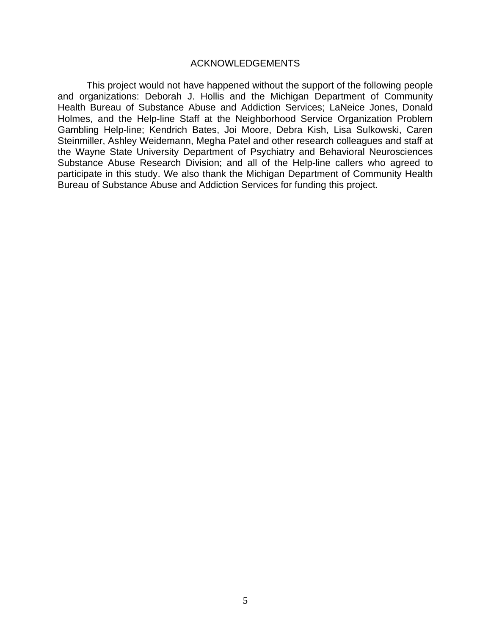#### ACKNOWLEDGEMENTS

This project would not have happened without the support of the following people and organizations: Deborah J. Hollis and the Michigan Department of Community Health Bureau of Substance Abuse and Addiction Services; LaNeice Jones, Donald Holmes, and the Help-line Staff at the Neighborhood Service Organization Problem Gambling Help-line; Kendrich Bates, Joi Moore, Debra Kish, Lisa Sulkowski, Caren Steinmiller, Ashley Weidemann, Megha Patel and other research colleagues and staff at the Wayne State University Department of Psychiatry and Behavioral Neurosciences Substance Abuse Research Division; and all of the Help-line callers who agreed to participate in this study. We also thank the Michigan Department of Community Health Bureau of Substance Abuse and Addiction Services for funding this project.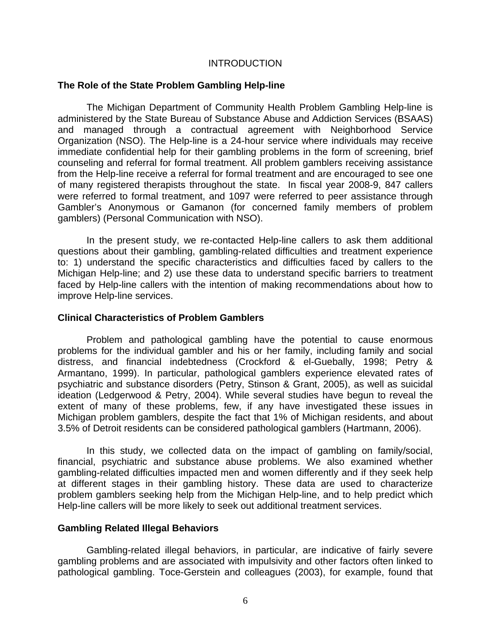#### INTRODUCTION

#### **The Role of the State Problem Gambling Help-line**

 The Michigan Department of Community Health Problem Gambling Help-line is administered by the State Bureau of Substance Abuse and Addiction Services (BSAAS) and managed through a contractual agreement with Neighborhood Service Organization (NSO). The Help-line is a 24-hour service where individuals may receive immediate confidential help for their gambling problems in the form of screening, brief counseling and referral for formal treatment. All problem gamblers receiving assistance from the Help-line receive a referral for formal treatment and are encouraged to see one of many registered therapists throughout the state. In fiscal year 2008-9, 847 callers were referred to formal treatment, and 1097 were referred to peer assistance through Gambler's Anonymous or Gamanon (for concerned family members of problem gamblers) (Personal Communication with NSO).

 In the present study, we re-contacted Help-line callers to ask them additional questions about their gambling, gambling-related difficulties and treatment experience to: 1) understand the specific characteristics and difficulties faced by callers to the Michigan Help-line; and 2) use these data to understand specific barriers to treatment faced by Help-line callers with the intention of making recommendations about how to improve Help-line services.

#### **Clinical Characteristics of Problem Gamblers**

Problem and pathological gambling have the potential to cause enormous problems for the individual gambler and his or her family, including family and social distress, and financial indebtedness (Crockford & el-Guebally, 1998; Petry & Armantano, 1999). In particular, pathological gamblers experience elevated rates of psychiatric and substance disorders (Petry, Stinson & Grant, 2005), as well as suicidal ideation (Ledgerwood & Petry, 2004). While several studies have begun to reveal the extent of many of these problems, few, if any have investigated these issues in Michigan problem gamblers, despite the fact that 1% of Michigan residents, and about 3.5% of Detroit residents can be considered pathological gamblers (Hartmann, 2006).

In this study, we collected data on the impact of gambling on family/social, financial, psychiatric and substance abuse problems. We also examined whether gambling-related difficulties impacted men and women differently and if they seek help at different stages in their gambling history. These data are used to characterize problem gamblers seeking help from the Michigan Help-line, and to help predict which Help-line callers will be more likely to seek out additional treatment services.

#### **Gambling Related Illegal Behaviors**

Gambling-related illegal behaviors, in particular, are indicative of fairly severe gambling problems and are associated with impulsivity and other factors often linked to pathological gambling. Toce-Gerstein and colleagues (2003), for example, found that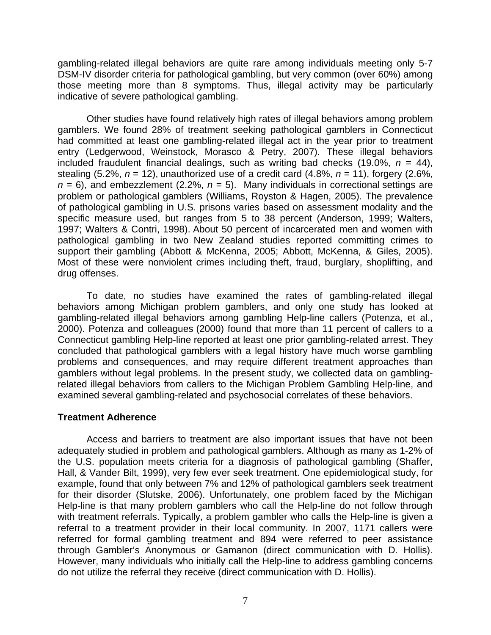gambling-related illegal behaviors are quite rare among individuals meeting only 5-7 DSM-IV disorder criteria for pathological gambling, but very common (over 60%) among those meeting more than 8 symptoms. Thus, illegal activity may be particularly indicative of severe pathological gambling.

Other studies have found relatively high rates of illegal behaviors among problem gamblers. We found 28% of treatment seeking pathological gamblers in Connecticut had committed at least one gambling-related illegal act in the year prior to treatment entry (Ledgerwood, Weinstock, Morasco & Petry, 2007). These illegal behaviors included fraudulent financial dealings, such as writing bad checks (19.0%,  $n = 44$ ), stealing (5.2%,  $n = 12$ ), unauthorized use of a credit card (4.8%,  $n = 11$ ), forgery (2.6%,  $n = 6$ ), and embezzlement (2.2%,  $n = 5$ ). Many individuals in correctional settings are problem or pathological gamblers (Williams, Royston & Hagen, 2005). The prevalence of pathological gambling in U.S. prisons varies based on assessment modality and the specific measure used, but ranges from 5 to 38 percent (Anderson, 1999; Walters, 1997; Walters & Contri, 1998). About 50 percent of incarcerated men and women with pathological gambling in two New Zealand studies reported committing crimes to support their gambling (Abbott & McKenna, 2005; Abbott, McKenna, & Giles, 2005). Most of these were nonviolent crimes including theft, fraud, burglary, shoplifting, and drug offenses.

To date, no studies have examined the rates of gambling-related illegal behaviors among Michigan problem gamblers, and only one study has looked at gambling-related illegal behaviors among gambling Help-line callers (Potenza, et al., 2000). Potenza and colleagues (2000) found that more than 11 percent of callers to a Connecticut gambling Help-line reported at least one prior gambling-related arrest. They concluded that pathological gamblers with a legal history have much worse gambling problems and consequences, and may require different treatment approaches than gamblers without legal problems. In the present study, we collected data on gamblingrelated illegal behaviors from callers to the Michigan Problem Gambling Help-line, and examined several gambling-related and psychosocial correlates of these behaviors.

#### **Treatment Adherence**

Access and barriers to treatment are also important issues that have not been adequately studied in problem and pathological gamblers. Although as many as 1-2% of the U.S. population meets criteria for a diagnosis of pathological gambling (Shaffer, Hall, & Vander Bilt, 1999), very few ever seek treatment. One epidemiological study, for example, found that only between 7% and 12% of pathological gamblers seek treatment for their disorder (Slutske, 2006). Unfortunately, one problem faced by the Michigan Help-line is that many problem gamblers who call the Help-line do not follow through with treatment referrals. Typically, a problem gambler who calls the Help-line is given a referral to a treatment provider in their local community. In 2007, 1171 callers were referred for formal gambling treatment and 894 were referred to peer assistance through Gambler's Anonymous or Gamanon (direct communication with D. Hollis). However, many individuals who initially call the Help-line to address gambling concerns do not utilize the referral they receive (direct communication with D. Hollis).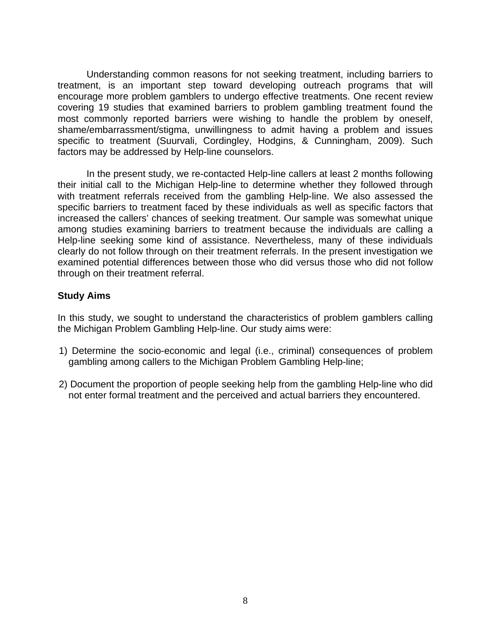Understanding common reasons for not seeking treatment, including barriers to treatment, is an important step toward developing outreach programs that will encourage more problem gamblers to undergo effective treatments. One recent review covering 19 studies that examined barriers to problem gambling treatment found the most commonly reported barriers were wishing to handle the problem by oneself, shame/embarrassment/stigma, unwillingness to admit having a problem and issues specific to treatment (Suurvali, Cordingley, Hodgins, & Cunningham, 2009). Such factors may be addressed by Help-line counselors.

In the present study, we re-contacted Help-line callers at least 2 months following their initial call to the Michigan Help-line to determine whether they followed through with treatment referrals received from the gambling Help-line. We also assessed the specific barriers to treatment faced by these individuals as well as specific factors that increased the callers' chances of seeking treatment. Our sample was somewhat unique among studies examining barriers to treatment because the individuals are calling a Help-line seeking some kind of assistance. Nevertheless, many of these individuals clearly do not follow through on their treatment referrals. In the present investigation we examined potential differences between those who did versus those who did not follow through on their treatment referral.

## **Study Aims**

In this study, we sought to understand the characteristics of problem gamblers calling the Michigan Problem Gambling Help-line. Our study aims were:

- 1) Determine the socio-economic and legal (i.e., criminal) consequences of problem gambling among callers to the Michigan Problem Gambling Help-line;
- 2) Document the proportion of people seeking help from the gambling Help-line who did not enter formal treatment and the perceived and actual barriers they encountered.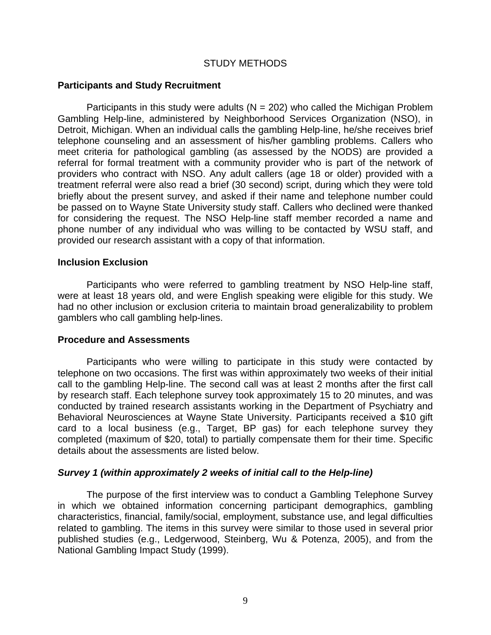#### STUDY METHODS

#### **Participants and Study Recruitment**

Participants in this study were adults ( $N = 202$ ) who called the Michigan Problem Gambling Help-line, administered by Neighborhood Services Organization (NSO), in Detroit, Michigan. When an individual calls the gambling Help-line, he/she receives brief telephone counseling and an assessment of his/her gambling problems. Callers who meet criteria for pathological gambling (as assessed by the NODS) are provided a referral for formal treatment with a community provider who is part of the network of providers who contract with NSO. Any adult callers (age 18 or older) provided with a treatment referral were also read a brief (30 second) script, during which they were told briefly about the present survey, and asked if their name and telephone number could be passed on to Wayne State University study staff. Callers who declined were thanked for considering the request. The NSO Help-line staff member recorded a name and phone number of any individual who was willing to be contacted by WSU staff, and provided our research assistant with a copy of that information.

#### **Inclusion Exclusion**

Participants who were referred to gambling treatment by NSO Help-line staff, were at least 18 years old, and were English speaking were eligible for this study. We had no other inclusion or exclusion criteria to maintain broad generalizability to problem gamblers who call gambling help-lines.

#### **Procedure and Assessments**

Participants who were willing to participate in this study were contacted by telephone on two occasions. The first was within approximately two weeks of their initial call to the gambling Help-line. The second call was at least 2 months after the first call by research staff. Each telephone survey took approximately 15 to 20 minutes, and was conducted by trained research assistants working in the Department of Psychiatry and Behavioral Neurosciences at Wayne State University. Participants received a \$10 gift card to a local business (e.g., Target, BP gas) for each telephone survey they completed (maximum of \$20, total) to partially compensate them for their time. Specific details about the assessments are listed below.

#### *Survey 1 (within approximately 2 weeks of initial call to the Help-line)*

The purpose of the first interview was to conduct a Gambling Telephone Survey in which we obtained information concerning participant demographics, gambling characteristics, financial, family/social, employment, substance use, and legal difficulties related to gambling. The items in this survey were similar to those used in several prior published studies (e.g., Ledgerwood, Steinberg, Wu & Potenza, 2005), and from the National Gambling Impact Study (1999).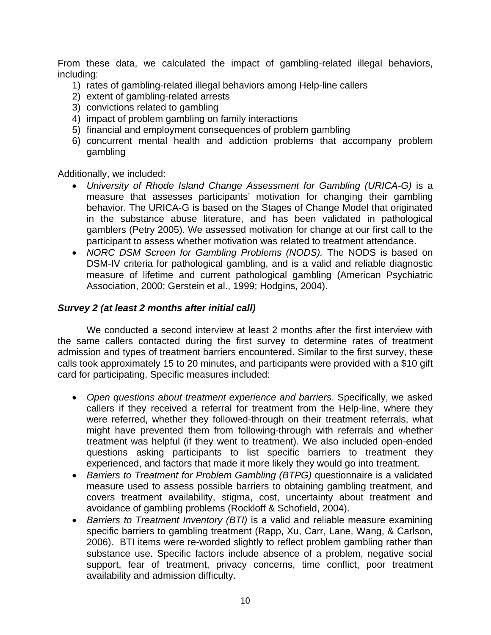From these data, we calculated the impact of gambling-related illegal behaviors, including:

- 1) rates of gambling-related illegal behaviors among Help-line callers
- 2) extent of gambling-related arrests
- 3) convictions related to gambling
- 4) impact of problem gambling on family interactions
- 5) financial and employment consequences of problem gambling
- 6) concurrent mental health and addiction problems that accompany problem gambling

Additionally, we included:

- *University of Rhode Island Change Assessment for Gambling (URICA-G)* is a measure that assesses participants' motivation for changing their gambling behavior. The URICA-G is based on the Stages of Change Model that originated in the substance abuse literature, and has been validated in pathological gamblers (Petry 2005). We assessed motivation for change at our first call to the participant to assess whether motivation was related to treatment attendance.
- *NORC DSM Screen for Gambling Problems (NODS).* The NODS is based on DSM-IV criteria for pathological gambling, and is a valid and reliable diagnostic measure of lifetime and current pathological gambling (American Psychiatric Association, 2000; Gerstein et al., 1999; Hodgins, 2004).

## *Survey 2 (at least 2 months after initial call)*

We conducted a second interview at least 2 months after the first interview with the same callers contacted during the first survey to determine rates of treatment admission and types of treatment barriers encountered. Similar to the first survey, these calls took approximately 15 to 20 minutes, and participants were provided with a \$10 gift card for participating. Specific measures included:

- *Open questions about treatment experience and barriers*. Specifically, we asked callers if they received a referral for treatment from the Help-line, where they were referred, whether they followed-through on their treatment referrals, what might have prevented them from following-through with referrals and whether treatment was helpful (if they went to treatment). We also included open-ended questions asking participants to list specific barriers to treatment they experienced, and factors that made it more likely they would go into treatment.
- *Barriers to Treatment for Problem Gambling (BTPG)* questionnaire is a validated measure used to assess possible barriers to obtaining gambling treatment, and covers treatment availability, stigma, cost, uncertainty about treatment and avoidance of gambling problems (Rockloff & Schofield, 2004).
- *Barriers to Treatment Inventory (BTI)* is a valid and reliable measure examining specific barriers to gambling treatment (Rapp, Xu, Carr, Lane, Wang, & Carlson, 2006). BTI items were re-worded slightly to reflect problem gambling rather than substance use. Specific factors include absence of a problem, negative social support, fear of treatment, privacy concerns, time conflict, poor treatment availability and admission difficulty.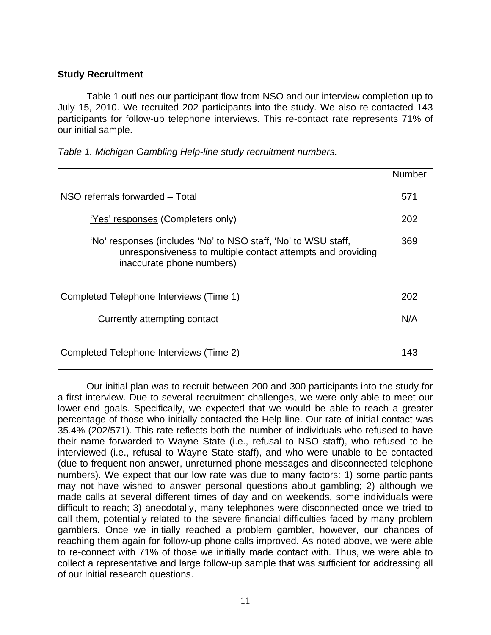## **Study Recruitment**

Table 1 outlines our participant flow from NSO and our interview completion up to July 15, 2010. We recruited 202 participants into the study. We also re-contacted 143 participants for follow-up telephone interviews. This re-contact rate represents 71% of our initial sample.

|  |  | Table 1. Michigan Gambling Help-line study recruitment numbers. |
|--|--|-----------------------------------------------------------------|
|  |  |                                                                 |

|                                                                                                                                                            | <b>Number</b> |
|------------------------------------------------------------------------------------------------------------------------------------------------------------|---------------|
| NSO referrals forwarded - Total                                                                                                                            | 571           |
| <u>'Yes' responses</u> (Completers only)                                                                                                                   | 202           |
| 'No' responses (includes 'No' to NSO staff, 'No' to WSU staff,<br>unresponsiveness to multiple contact attempts and providing<br>inaccurate phone numbers) | 369           |
| Completed Telephone Interviews (Time 1)                                                                                                                    | 202           |
| Currently attempting contact                                                                                                                               | N/A           |
| Completed Telephone Interviews (Time 2)                                                                                                                    | 143           |

 Our initial plan was to recruit between 200 and 300 participants into the study for a first interview. Due to several recruitment challenges, we were only able to meet our lower-end goals. Specifically, we expected that we would be able to reach a greater percentage of those who initially contacted the Help-line. Our rate of initial contact was 35.4% (202/571). This rate reflects both the number of individuals who refused to have their name forwarded to Wayne State (i.e., refusal to NSO staff), who refused to be interviewed (i.e., refusal to Wayne State staff), and who were unable to be contacted (due to frequent non-answer, unreturned phone messages and disconnected telephone numbers). We expect that our low rate was due to many factors: 1) some participants may not have wished to answer personal questions about gambling; 2) although we made calls at several different times of day and on weekends, some individuals were difficult to reach; 3) anecdotally, many telephones were disconnected once we tried to call them, potentially related to the severe financial difficulties faced by many problem gamblers. Once we initially reached a problem gambler, however, our chances of reaching them again for follow-up phone calls improved. As noted above, we were able to re-connect with 71% of those we initially made contact with. Thus, we were able to collect a representative and large follow-up sample that was sufficient for addressing all of our initial research questions.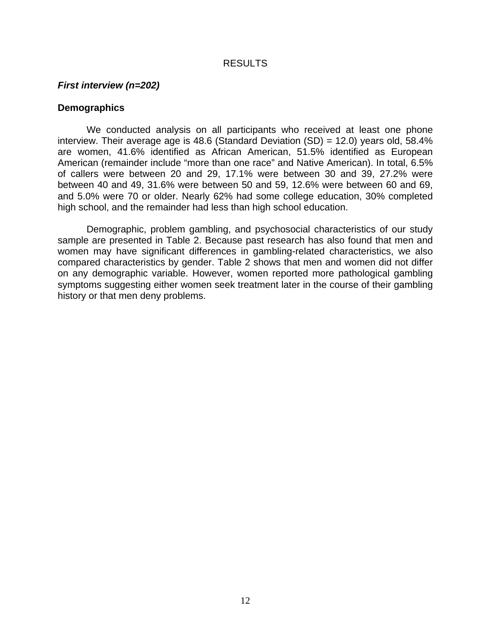#### RESULTS

#### *First interview (n=202)*

#### **Demographics**

We conducted analysis on all participants who received at least one phone interview. Their average age is 48.6 (Standard Deviation  $(SD) = 12.0$ ) years old, 58.4% are women, 41.6% identified as African American, 51.5% identified as European American (remainder include "more than one race" and Native American). In total, 6.5% of callers were between 20 and 29, 17.1% were between 30 and 39, 27.2% were between 40 and 49, 31.6% were between 50 and 59, 12.6% were between 60 and 69, and 5.0% were 70 or older. Nearly 62% had some college education, 30% completed high school, and the remainder had less than high school education.

 Demographic, problem gambling, and psychosocial characteristics of our study sample are presented in Table 2. Because past research has also found that men and women may have significant differences in gambling-related characteristics, we also compared characteristics by gender. Table 2 shows that men and women did not differ on any demographic variable. However, women reported more pathological gambling symptoms suggesting either women seek treatment later in the course of their gambling history or that men deny problems.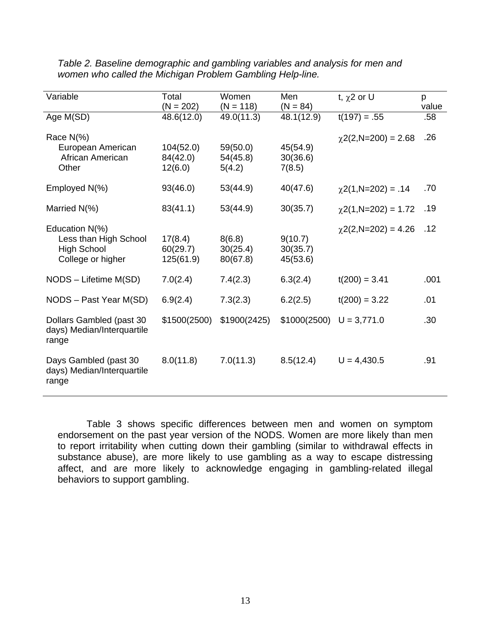| Variable                                                                           | Total<br>$(N = 202)$             | Women<br>$(N = 118)$           | Men<br>$(N = 84)$               | t, $\chi$ 2 or U         | p<br>value |
|------------------------------------------------------------------------------------|----------------------------------|--------------------------------|---------------------------------|--------------------------|------------|
| Age M(SD)                                                                          | 48.6(12.0)                       | 49.0(11.3)                     | 48.1(12.9)                      | $t(197) = .55$           | .58        |
| Race N(%)<br>European American<br>African American<br>Other                        | 104(52.0)<br>84(42.0)<br>12(6.0) | 59(50.0)<br>54(45.8)<br>5(4.2) | 45(54.9)<br>30(36.6)<br>7(8.5)  | $\chi$ 2(2,N=200) = 2.68 | .26        |
| Employed N(%)                                                                      | 93(46.0)                         | 53(44.9)                       | 40(47.6)                        | $\chi$ 2(1, N=202) = .14 | .70        |
| Married N(%)                                                                       | 83(41.1)                         | 53(44.9)                       | 30(35.7)                        | $\chi$ 2(1,N=202) = 1.72 | .19        |
| Education N(%)<br>Less than High School<br><b>High School</b><br>College or higher | 17(8.4)<br>60(29.7)<br>125(61.9) | 8(6.8)<br>30(25.4)<br>80(67.8) | 9(10.7)<br>30(35.7)<br>45(53.6) | $\chi$ 2(2,N=202) = 4.26 | .12        |
| NODS - Lifetime M(SD)                                                              | 7.0(2.4)                         | 7.4(2.3)                       | 6.3(2.4)                        | $t(200) = 3.41$          | .001       |
| NODS - Past Year M(SD)                                                             | 6.9(2.4)                         | 7.3(2.3)                       | 6.2(2.5)                        | $t(200) = 3.22$          | .01        |
| Dollars Gambled (past 30<br>days) Median/Interquartile<br>range                    | \$1500(2500)                     | \$1900(2425)                   | \$1000(2500)                    | $U = 3,771.0$            | .30        |
| Days Gambled (past 30<br>days) Median/Interquartile<br>range                       | 8.0(11.8)                        | 7.0(11.3)                      | 8.5(12.4)                       | $U = 4,430.5$            | .91        |

*Table 2. Baseline demographic and gambling variables and analysis for men and women who called the Michigan Problem Gambling Help-line.* 

Table 3 shows specific differences between men and women on symptom endorsement on the past year version of the NODS. Women are more likely than men to report irritability when cutting down their gambling (similar to withdrawal effects in substance abuse), are more likely to use gambling as a way to escape distressing affect, and are more likely to acknowledge engaging in gambling-related illegal behaviors to support gambling.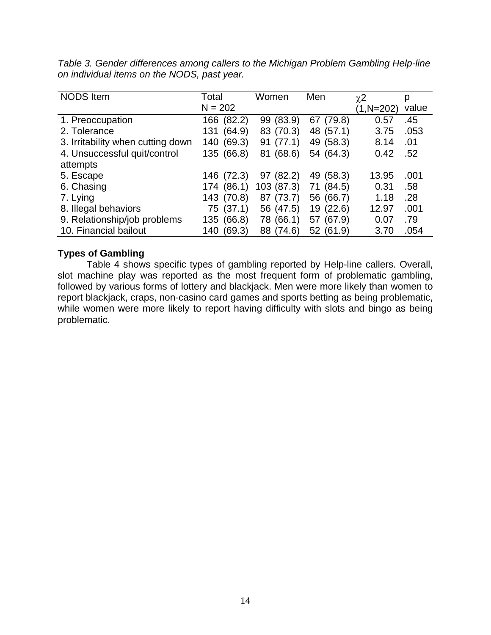| <b>NODS</b> Item                  | Total         | Women        | Men          | $\chi$ 2  | р     |
|-----------------------------------|---------------|--------------|--------------|-----------|-------|
|                                   | $N = 202$     |              |              | (1,N=202) | value |
| 1. Preoccupation                  | 166 (82.2)    | 99 (83.9)    | 67 (79.8)    | 0.57      | .45   |
| 2. Tolerance                      | (64.9)<br>131 | 83 (70.3)    | 48 (57.1)    | 3.75      | .053  |
| 3. Irritability when cutting down | (69.3)<br>140 | (77.1)<br>91 | (58.3)<br>49 | 8.14      | .01   |
| 4. Unsuccessful quit/control      | 135 (66.8)    | (68.6)<br>81 | 54 (64.3)    | 0.42      | .52   |
| attempts                          |               |              |              |           |       |
| 5. Escape                         | 146 (72.3)    | (82.2)<br>97 | 49 (58.3)    | 13.95     | .001  |
| 6. Chasing                        | 174 (86.1)    | 103 (87.3)   | (84.5)<br>71 | 0.31      | .58   |
| 7. Lying                          | 143 (70.8)    | 87 (73.7)    | 56 (66.7)    | 1.18      | .28   |
| 8. Illegal behaviors              | 75 (37.1)     | 56 (47.5)    | (22.6)<br>19 | 12.97     | .001  |
| 9. Relationship/job problems      | 135 (66.8)    | 78 (66.1)    | 57 (67.9)    | 0.07      | .79   |
| 10. Financial bailout             | (69.3)<br>140 | 88 (74.6)    | 52 (61.9)    | 3.70      | .054  |

*Table 3. Gender differences among callers to the Michigan Problem Gambling Help-line on individual items on the NODS, past year.* 

### **Types of Gambling**

Table 4 shows specific types of gambling reported by Help-line callers. Overall, slot machine play was reported as the most frequent form of problematic gambling, followed by various forms of lottery and blackjack. Men were more likely than women to report blackjack, craps, non-casino card games and sports betting as being problematic, while women were more likely to report having difficulty with slots and bingo as being problematic.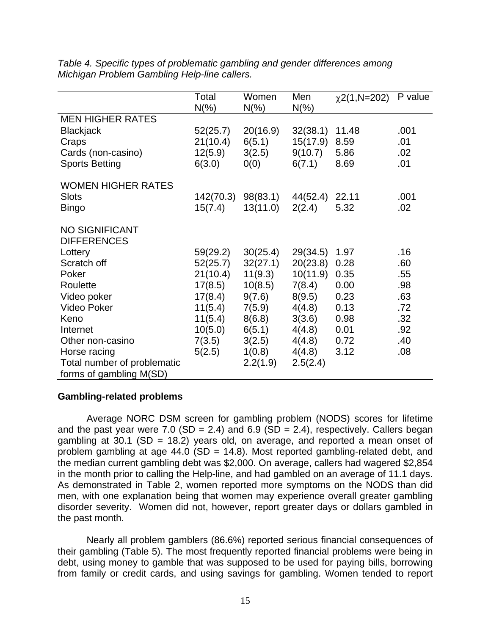|                             | Total     | Women    | Men      | $\chi$ 2(1,N=202) | P value |
|-----------------------------|-----------|----------|----------|-------------------|---------|
|                             | $N(\% )$  | $N(\%)$  | $N(\%)$  |                   |         |
| <b>MEN HIGHER RATES</b>     |           |          |          |                   |         |
| <b>Blackjack</b>            | 52(25.7)  | 20(16.9) | 32(38.1) | 11.48             | .001    |
| Craps                       | 21(10.4)  | 6(5.1)   | 15(17.9) | 8.59              | .01     |
| Cards (non-casino)          | 12(5.9)   | 3(2.5)   | 9(10.7)  | 5.86              | .02     |
| <b>Sports Betting</b>       | 6(3.0)    | 0(0)     | 6(7.1)   | 8.69              | .01     |
| <b>WOMEN HIGHER RATES</b>   |           |          |          |                   |         |
| <b>Slots</b>                | 142(70.3) | 98(83.1) | 44(52.4) | 22.11             | .001    |
| <b>Bingo</b>                | 15(7.4)   | 13(11.0) | 2(2.4)   | 5.32              | .02     |
|                             |           |          |          |                   |         |
| <b>NO SIGNIFICANT</b>       |           |          |          |                   |         |
| <b>DIFFERENCES</b>          |           |          |          |                   |         |
| Lottery                     | 59(29.2)  | 30(25.4) | 29(34.5) | 1.97              | .16     |
| Scratch off                 | 52(25.7)  | 32(27.1) | 20(23.8) | 0.28              | .60     |
| Poker                       | 21(10.4)  | 11(9.3)  | 10(11.9) | 0.35              | .55     |
| Roulette                    | 17(8.5)   | 10(8.5)  | 7(8.4)   | 0.00              | .98     |
| Video poker                 | 17(8.4)   | 9(7.6)   | 8(9.5)   | 0.23              | .63     |
| Video Poker                 | 11(5.4)   | 7(5.9)   | 4(4.8)   | 0.13              | .72     |
| Keno                        | 11(5.4)   | 8(6.8)   | 3(3.6)   | 0.98              | .32     |
| Internet                    | 10(5.0)   | 6(5.1)   | 4(4.8)   | 0.01              | .92     |
| Other non-casino            | 7(3.5)    | 3(2.5)   | 4(4.8)   | 0.72              | .40     |
| Horse racing                | 5(2.5)    | 1(0.8)   | 4(4.8)   | 3.12              | .08     |
|                             |           |          |          |                   |         |
| Total number of problematic |           | 2.2(1.9) | 2.5(2.4) |                   |         |
| forms of gambling M(SD)     |           |          |          |                   |         |

*Table 4. Specific types of problematic gambling and gender differences among Michigan Problem Gambling Help-line callers.* 

## **Gambling-related problems**

Average NORC DSM screen for gambling problem (NODS) scores for lifetime and the past year were 7.0 (SD = 2.4) and 6.9 (SD = 2.4), respectively. Callers began gambling at 30.1 (SD = 18.2) years old, on average, and reported a mean onset of problem gambling at age  $44.0$  (SD = 14.8). Most reported gambling-related debt, and the median current gambling debt was \$2,000. On average, callers had wagered \$2,854 in the month prior to calling the Help-line, and had gambled on an average of 11.1 days. As demonstrated in Table 2, women reported more symptoms on the NODS than did men, with one explanation being that women may experience overall greater gambling disorder severity. Women did not, however, report greater days or dollars gambled in the past month.

 Nearly all problem gamblers (86.6%) reported serious financial consequences of their gambling (Table 5). The most frequently reported financial problems were being in debt, using money to gamble that was supposed to be used for paying bills, borrowing from family or credit cards, and using savings for gambling. Women tended to report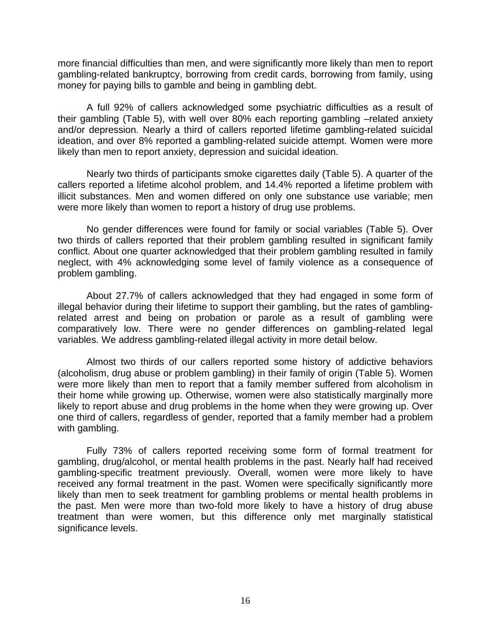more financial difficulties than men, and were significantly more likely than men to report gambling-related bankruptcy, borrowing from credit cards, borrowing from family, using money for paying bills to gamble and being in gambling debt.

 A full 92% of callers acknowledged some psychiatric difficulties as a result of their gambling (Table 5), with well over 80% each reporting gambling –related anxiety and/or depression. Nearly a third of callers reported lifetime gambling-related suicidal ideation, and over 8% reported a gambling-related suicide attempt. Women were more likely than men to report anxiety, depression and suicidal ideation.

 Nearly two thirds of participants smoke cigarettes daily (Table 5). A quarter of the callers reported a lifetime alcohol problem, and 14.4% reported a lifetime problem with illicit substances. Men and women differed on only one substance use variable; men were more likely than women to report a history of drug use problems.

 No gender differences were found for family or social variables (Table 5). Over two thirds of callers reported that their problem gambling resulted in significant family conflict. About one quarter acknowledged that their problem gambling resulted in family neglect, with 4% acknowledging some level of family violence as a consequence of problem gambling.

 About 27.7% of callers acknowledged that they had engaged in some form of illegal behavior during their lifetime to support their gambling, but the rates of gamblingrelated arrest and being on probation or parole as a result of gambling were comparatively low. There were no gender differences on gambling-related legal variables. We address gambling-related illegal activity in more detail below.

 Almost two thirds of our callers reported some history of addictive behaviors (alcoholism, drug abuse or problem gambling) in their family of origin (Table 5). Women were more likely than men to report that a family member suffered from alcoholism in their home while growing up. Otherwise, women were also statistically marginally more likely to report abuse and drug problems in the home when they were growing up. Over one third of callers, regardless of gender, reported that a family member had a problem with gambling.

Fully 73% of callers reported receiving some form of formal treatment for gambling, drug/alcohol, or mental health problems in the past. Nearly half had received gambling-specific treatment previously. Overall, women were more likely to have received any formal treatment in the past. Women were specifically significantly more likely than men to seek treatment for gambling problems or mental health problems in the past. Men were more than two-fold more likely to have a history of drug abuse treatment than were women, but this difference only met marginally statistical significance levels.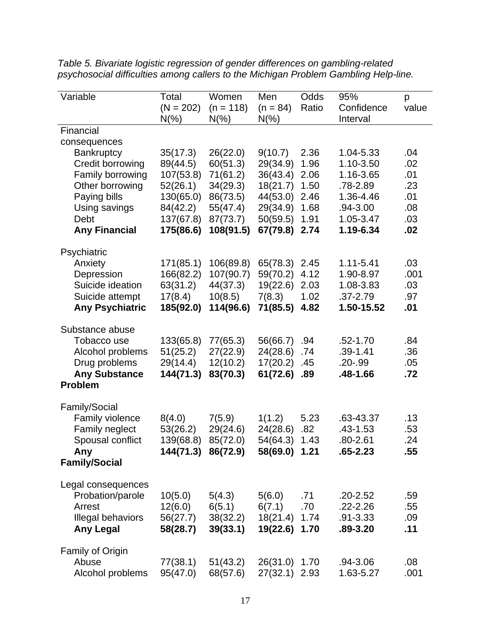| Variable                             | Total                 | Women                | Men                  | Odds         | 95%                    | p          |
|--------------------------------------|-----------------------|----------------------|----------------------|--------------|------------------------|------------|
|                                      | $(N = 202)$           | $(n = 118)$          | $(n = 84)$           | Ratio        | Confidence             | value      |
|                                      | $N(\%)$               | $N(\%)$              | $N\frac{6}{6}$       |              | Interval               |            |
| Financial                            |                       |                      |                      |              |                        |            |
| consequences                         |                       |                      |                      |              |                        |            |
| <b>Bankruptcy</b>                    | 35(17.3)              | 26(22.0)             | 9(10.7)              | 2.36<br>1.96 | 1.04-5.33<br>1.10-3.50 | .04<br>.02 |
| Credit borrowing<br>Family borrowing | 89(44.5)<br>107(53.8) | 60(51.3)<br>71(61.2) | 29(34.9)<br>36(43.4) | 2.06         | 1.16-3.65              | .01        |
| Other borrowing                      | 52(26.1)              | 34(29.3)             | 18(21.7)             | 1.50         | .78-2.89               | .23        |
| Paying bills                         | 130(65.0)             | 86(73.5)             | 44(53.0)             | 2.46         | 1.36-4.46              | .01        |
| Using savings                        | 84(42.2)              | 55(47.4)             | 29(34.9)             | 1.68         | .94-3.00               | .08        |
| Debt                                 | 137(67.8)             | 87(73.7)             | 50(59.5)             | 1.91         | 1.05-3.47              | .03        |
| <b>Any Financial</b>                 | 175(86.6)             | 108(91.5)            | 67(79.8)             | 2.74         | 1.19-6.34              | .02        |
|                                      |                       |                      |                      |              |                        |            |
| Psychiatric                          |                       |                      |                      |              |                        |            |
| Anxiety                              | 171(85.1)             | 106(89.8)            | 65(78.3)             | 2.45         | 1.11-5.41              | .03        |
| Depression                           | 166(82.2)             | 107(90.7)            | 59(70.2)             | 4.12         | 1.90-8.97              | .001       |
| Suicide ideation                     | 63(31.2)              | 44(37.3)             | 19(22.6)             | 2.03         | 1.08-3.83              | .03        |
| Suicide attempt                      | 17(8.4)               | 10(8.5)              | 7(8.3)               | 1.02         | $.37 - 2.79$           | .97        |
| <b>Any Psychiatric</b>               | 185(92.0)             | 114(96.6)            | 71(85.5)             | 4.82         | 1.50-15.52             | .01        |
|                                      |                       |                      |                      |              |                        |            |
| Substance abuse                      |                       |                      |                      |              |                        |            |
| Tobacco use                          | 133(65.8)             | 77(65.3)             | 56(66.7)             | .94          | $.52 - 1.70$           | .84        |
| Alcohol problems                     | 51(25.2)              | 27(22.9)             | 24(28.6)             | .74          | $.39 - 1.41$           | .36        |
| Drug problems                        | 29(14.4)              | 12(10.2)             | 17(20.2)             | .45          | $.20 - .99$            | .05        |
| <b>Any Substance</b>                 | 144(71.3)             | 83(70.3)             | 61(72.6)             | .89          | .48-1.66               | .72        |
| <b>Problem</b>                       |                       |                      |                      |              |                        |            |
| Family/Social                        |                       |                      |                      |              |                        |            |
| <b>Family violence</b>               | 8(4.0)                | 7(5.9)               | 1(1.2)               | 5.23         | .63-43.37              | .13        |
| Family neglect                       | 53(26.2)              | 29(24.6)             | 24(28.6)             | .82          | .43-1.53               | .53        |
| Spousal conflict                     | 139(68.8)             | 85(72.0)             | 54(64.3)             | 1.43         | $.80 - 2.61$           | .24        |
| Any                                  | 144(71.3) 86(72.9)    |                      | 58(69.0) 1.21        |              | $.65 - 2.23$           | .55        |
| <b>Family/Social</b>                 |                       |                      |                      |              |                        |            |
|                                      |                       |                      |                      |              |                        |            |
| Legal consequences                   |                       |                      |                      |              |                        |            |
| Probation/parole                     | 10(5.0)               | 5(4.3)               | 5(6.0)               | .71          | $.20 - 2.52$           | .59        |
| Arrest                               | 12(6.0)               | 6(5.1)               | 6(7.1)               | .70          | $.22 - 2.26$           | .55        |
| Illegal behaviors                    | 56(27.7)              | 38(32.2)             | 18(21.4)             | 1.74         | .91-3.33               | .09        |
| <b>Any Legal</b>                     | 58(28.7)              | 39(33.1)             | 19(22.6)             | 1.70         | .89-3.20               | .11        |
|                                      |                       |                      |                      |              |                        |            |
| Family of Origin                     |                       |                      |                      |              |                        |            |
| Abuse                                | 77(38.1)              | 51(43.2)             | 26(31.0)             | 1.70         | .94-3.06               | .08        |
| Alcohol problems                     | 95(47.0)              | 68(57.6)             | 27(32.1)             | 2.93         | 1.63-5.27              | .001       |

*Table 5. Bivariate logistic regression of gender differences on gambling-related psychosocial difficulties among callers to the Michigan Problem Gambling Help-line.*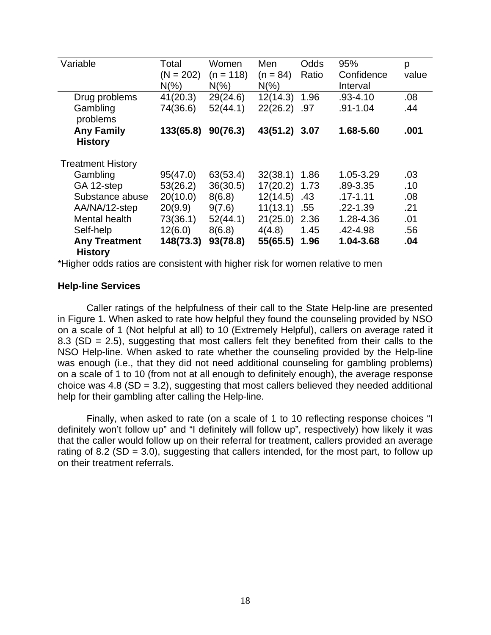| Variable                               | Total<br>$(N = 202)$<br>$N(\%)$ | Women<br>$(n = 118)$<br>$N(\%)$ | Men<br>$(n = 84)$<br>$N(\% )$ | Odds<br>Ratio | 95%<br>Confidence<br>Interval | p<br>value |
|----------------------------------------|---------------------------------|---------------------------------|-------------------------------|---------------|-------------------------------|------------|
| Drug problems                          | 41(20.3)                        | 29(24.6)                        | 12(14.3)                      | 1.96          | $.93 - 4.10$                  | .08        |
| Gambling<br>problems                   | 74(36.6)                        | 52(44.1)                        | 22(26.2)                      | .97           | $.91 - 1.04$                  | .44        |
| <b>Any Family</b>                      | 133(65.8)                       | 90(76.3)                        | 43(51.2)                      | 3.07          | 1.68-5.60                     | .001       |
| <b>History</b>                         |                                 |                                 |                               |               |                               |            |
| <b>Treatment History</b>               |                                 |                                 |                               |               |                               |            |
| Gambling                               | 95(47.0)                        | 63(53.4)                        | 32(38.1)                      | 1.86          | 1.05-3.29                     | .03        |
| GA 12-step                             | 53(26.2)                        | 36(30.5)                        | 17(20.2)                      | 1.73          | .89-3.35                      | .10        |
| Substance abuse                        | 20(10.0)                        | 8(6.8)                          | 12(14.5)                      | .43           | $.17 - 1.11$                  | .08        |
| AA/NA/12-step                          | 20(9.9)                         | 9(7.6)                          | 11(13.1)                      | .55           | $.22 - 1.39$                  | .21        |
| Mental health                          | 73(36.1)                        | 52(44.1)                        | 21(25.0)                      | 2.36          | 1.28-4.36                     | .01        |
| Self-help                              | 12(6.0)                         | 8(6.8)                          | 4(4.8)                        | 1.45          | .42-4.98                      | .56        |
| <b>Any Treatment</b><br><b>History</b> | 148(73.3)                       | 93(78.8)                        | 55(65.5)                      | 1.96          | 1.04-3.68                     | .04        |

\*Higher odds ratios are consistent with higher risk for women relative to men

### **Help-line Services**

Caller ratings of the helpfulness of their call to the State Help-line are presented in Figure 1. When asked to rate how helpful they found the counseling provided by NSO on a scale of 1 (Not helpful at all) to 10 (Extremely Helpful), callers on average rated it 8.3 (SD = 2.5), suggesting that most callers felt they benefited from their calls to the NSO Help-line. When asked to rate whether the counseling provided by the Help-line was enough (i.e., that they did not need additional counseling for gambling problems) on a scale of 1 to 10 (from not at all enough to definitely enough), the average response choice was 4.8 (SD = 3.2), suggesting that most callers believed they needed additional help for their gambling after calling the Help-line.

Finally, when asked to rate (on a scale of 1 to 10 reflecting response choices "I definitely won't follow up" and "I definitely will follow up", respectively) how likely it was that the caller would follow up on their referral for treatment, callers provided an average rating of 8.2 (SD = 3.0), suggesting that callers intended, for the most part, to follow up on their treatment referrals.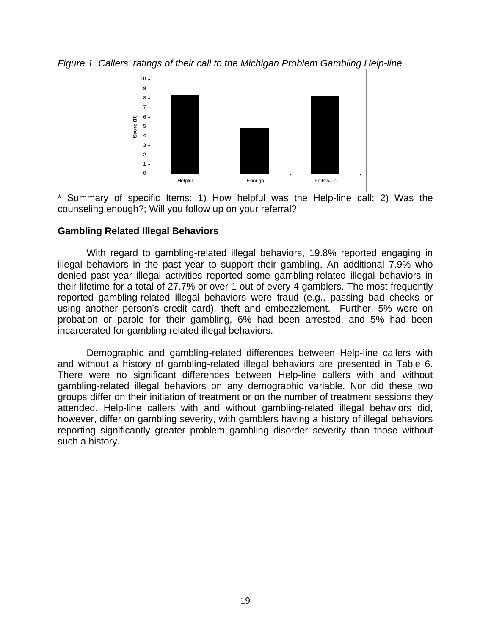*Figure 1. Callers' ratings of their call to the Michigan Problem Gambling Help-line.* 



\* Summary of specific Items: 1) How helpful was the Help-line call; 2) Was the counseling enough?; Will you follow up on your referral?

## **Gambling Related Illegal Behaviors**

With regard to gambling-related illegal behaviors, 19.8% reported engaging in illegal behaviors in the past year to support their gambling. An additional 7.9% who denied past year illegal activities reported some gambling-related illegal behaviors in their lifetime for a total of 27.7% or over 1 out of every 4 gamblers. The most frequently reported gambling-related illegal behaviors were fraud (e.g., passing bad checks or using another person's credit card), theft and embezzlement. Further, 5% were on probation or parole for their gambling, 6% had been arrested, and 5% had been incarcerated for gambling-related illegal behaviors.

Demographic and gambling-related differences between Help-line callers with and without a history of gambling-related illegal behaviors are presented in Table 6. There were no significant differences between Help-line callers with and without gambling-related illegal behaviors on any demographic variable. Nor did these two groups differ on their initiation of treatment or on the number of treatment sessions they attended. Help-line callers with and without gambling-related illegal behaviors did, however, differ on gambling severity, with gamblers having a history of illegal behaviors reporting significantly greater problem gambling disorder severity than those without such a history.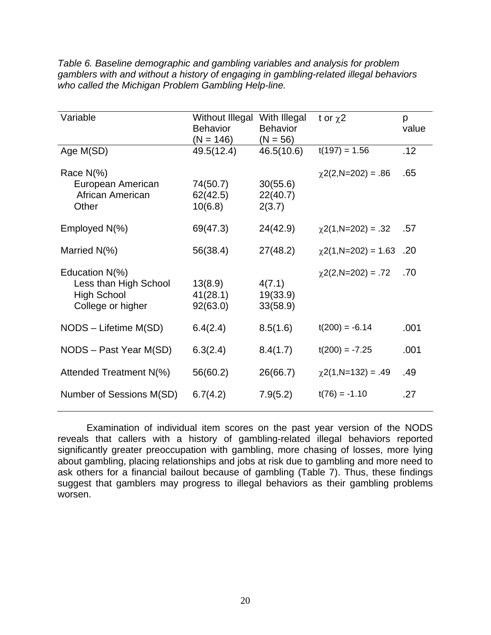| Variable                                                                           | <b>Without Illegal</b><br><b>Behavior</b><br>$(N = 146)$ | With Illegal<br><b>Behavior</b><br>$(N = 56)$ | t or $\chi$ 2            | p<br>value |
|------------------------------------------------------------------------------------|----------------------------------------------------------|-----------------------------------------------|--------------------------|------------|
| Age M(SD)                                                                          | 49.5(12.4)                                               | 46.5(10.6)                                    | $t(197) = 1.56$          | .12        |
| Race $N(\%)$<br>European American<br>African American<br>Other                     | 74(50.7)<br>62(42.5)<br>10(6.8)                          | 30(55.6)<br>22(40.7)<br>2(3.7)                | $\chi$ 2(2,N=202) = .86  | .65        |
| Employed N(%)                                                                      | 69(47.3)                                                 | 24(42.9)                                      | $\chi$ 2(1,N=202) = .32  | .57        |
| Married $N(\%)$                                                                    | 56(38.4)                                                 | 27(48.2)                                      | $\chi$ 2(1,N=202) = 1.63 | .20        |
| Education N(%)<br>Less than High School<br><b>High School</b><br>College or higher | 13(8.9)<br>41(28.1)<br>92(63.0)                          | 4(7.1)<br>19(33.9)<br>33(58.9)                | $\chi$ 2(2,N=202) = .72  | .70        |
| NODS - Lifetime M(SD)                                                              | 6.4(2.4)                                                 | 8.5(1.6)                                      | $t(200) = -6.14$         | .001       |
| NODS – Past Year M(SD)                                                             | 6.3(2.4)                                                 | 8.4(1.7)                                      | $t(200) = -7.25$         | .001       |
| Attended Treatment N(%)                                                            | 56(60.2)                                                 | 26(66.7)                                      | $\chi$ 2(1, N=132) = .49 | .49        |
| Number of Sessions M(SD)                                                           | 6.7(4.2)                                                 | 7.9(5.2)                                      | $t(76) = -1.10$          | .27        |

*Table 6. Baseline demographic and gambling variables and analysis for problem gamblers with and without a history of engaging in gambling-related illegal behaviors who called the Michigan Problem Gambling Help-line.* 

Examination of individual item scores on the past year version of the NODS reveals that callers with a history of gambling-related illegal behaviors reported significantly greater preoccupation with gambling, more chasing of losses, more lying about gambling, placing relationships and jobs at risk due to gambling and more need to ask others for a financial bailout because of gambling (Table 7). Thus, these findings suggest that gamblers may progress to illegal behaviors as their gambling problems worsen.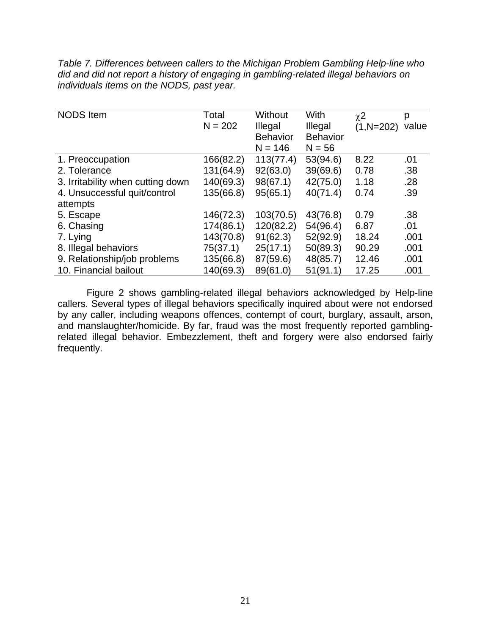*Table 7. Differences between callers to the Michigan Problem Gambling Help-line who did and did not report a history of engaging in gambling-related illegal behaviors on individuals items on the NODS, past year.* 

| <b>NODS</b> Item                  | Total<br>$N = 202$ | Without<br>Illegal<br><b>Behavior</b><br>$N = 146$ | With<br>Illegal<br><b>Behavior</b><br>$N = 56$ | $\chi$ <sup>2</sup><br>$(1, N=202)$ | р<br>value |
|-----------------------------------|--------------------|----------------------------------------------------|------------------------------------------------|-------------------------------------|------------|
| 1. Preoccupation                  | 166(82.2)          | 113(77.4)                                          | 53(94.6)                                       | 8.22                                | .01        |
| 2. Tolerance                      | 131(64.9)          | 92(63.0)                                           | 39(69.6)                                       | 0.78                                | .38        |
| 3. Irritability when cutting down | 140(69.3)          | 98(67.1)                                           | 42(75.0)                                       | 1.18                                | .28        |
| 4. Unsuccessful quit/control      | 135(66.8)          | 95(65.1)                                           | 40(71.4)                                       | 0.74                                | .39        |
| attempts                          |                    |                                                    |                                                |                                     |            |
| 5. Escape                         | 146(72.3)          | 103(70.5)                                          | 43(76.8)                                       | 0.79                                | .38        |
| 6. Chasing                        | 174(86.1)          | 120(82.2)                                          | 54(96.4)                                       | 6.87                                | .01        |
| 7. Lying                          | 143(70.8)          | 91(62.3)                                           | 52(92.9)                                       | 18.24                               | .001       |
| 8. Illegal behaviors              | 75(37.1)           | 25(17.1)                                           | 50(89.3)                                       | 90.29                               | .001       |
| 9. Relationship/job problems      | 135(66.8)          | 87(59.6)                                           | 48(85.7)                                       | 12.46                               | .001       |
| 10. Financial bailout             | 140(69.3)          | 89(61.0)                                           | 51(91.1)                                       | 17.25                               | .001       |

Figure 2 shows gambling-related illegal behaviors acknowledged by Help-line callers. Several types of illegal behaviors specifically inquired about were not endorsed by any caller, including weapons offences, contempt of court, burglary, assault, arson, and manslaughter/homicide. By far, fraud was the most frequently reported gamblingrelated illegal behavior. Embezzlement, theft and forgery were also endorsed fairly frequently.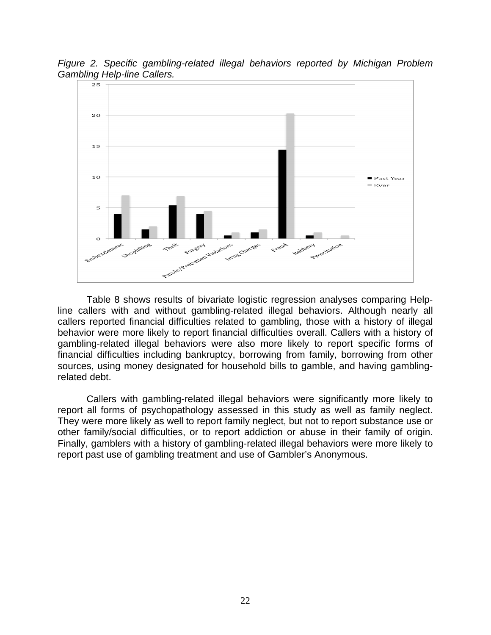

*Figure 2. Specific gambling-related illegal behaviors reported by Michigan Problem Gambling Help-line Callers.* 

 Table 8 shows results of bivariate logistic regression analyses comparing Helpline callers with and without gambling-related illegal behaviors. Although nearly all callers reported financial difficulties related to gambling, those with a history of illegal behavior were more likely to report financial difficulties overall. Callers with a history of gambling-related illegal behaviors were also more likely to report specific forms of financial difficulties including bankruptcy, borrowing from family, borrowing from other sources, using money designated for household bills to gamble, and having gamblingrelated debt.

 Callers with gambling-related illegal behaviors were significantly more likely to report all forms of psychopathology assessed in this study as well as family neglect. They were more likely as well to report family neglect, but not to report substance use or other family/social difficulties, or to report addiction or abuse in their family of origin. Finally, gamblers with a history of gambling-related illegal behaviors were more likely to report past use of gambling treatment and use of Gambler's Anonymous.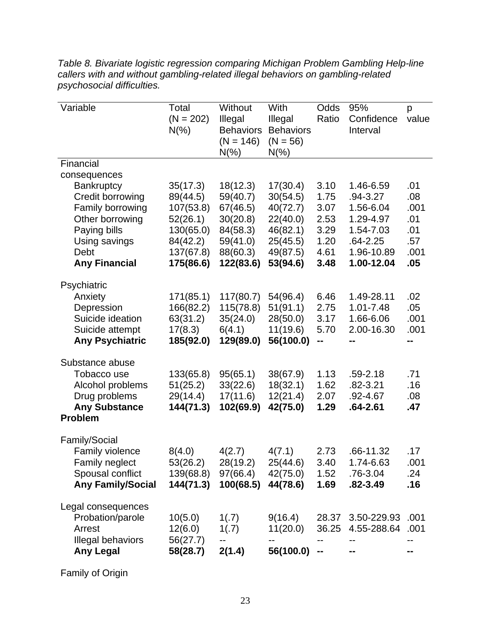| Variable                                                                                                                                                      | Total<br>$(N = 202)$<br>$N(\%)$                                                                  | Without<br>Illegal<br><b>Behaviors</b><br>$(N = 146)$<br>$N(\%)$                              | With<br>Illegal<br><b>Behaviors</b><br>$(N = 56)$<br>$N(\% )$                                | Odds<br>Ratio                                                | 95%<br>Confidence<br>Interval                                                                                | p<br>value                                             |
|---------------------------------------------------------------------------------------------------------------------------------------------------------------|--------------------------------------------------------------------------------------------------|-----------------------------------------------------------------------------------------------|----------------------------------------------------------------------------------------------|--------------------------------------------------------------|--------------------------------------------------------------------------------------------------------------|--------------------------------------------------------|
| Financial                                                                                                                                                     |                                                                                                  |                                                                                               |                                                                                              |                                                              |                                                                                                              |                                                        |
| consequences<br><b>Bankruptcy</b><br>Credit borrowing<br>Family borrowing<br>Other borrowing<br>Paying bills<br>Using savings<br>Debt<br><b>Any Financial</b> | 35(17.3)<br>89(44.5)<br>107(53.8)<br>52(26.1)<br>130(65.0)<br>84(42.2)<br>137(67.8)<br>175(86.6) | 18(12.3)<br>59(40.7)<br>67(46.5)<br>30(20.8)<br>84(58.3)<br>59(41.0)<br>88(60.3)<br>122(83.6) | 17(30.4)<br>30(54.5)<br>40(72.7)<br>22(40.0)<br>46(82.1)<br>25(45.5)<br>49(87.5)<br>53(94.6) | 3.10<br>1.75<br>3.07<br>2.53<br>3.29<br>1.20<br>4.61<br>3.48 | 1.46-6.59<br>$.94 - 3.27$<br>1.56-6.04<br>1.29-4.97<br>1.54-7.03<br>$.64 - 2.25$<br>1.96-10.89<br>1.00-12.04 | .01<br>.08<br>.001<br>.01<br>.01<br>.57<br>.001<br>.05 |
| Psychiatric<br>Anxiety<br>Depression<br>Suicide ideation<br>Suicide attempt<br><b>Any Psychiatric</b>                                                         | 171(85.1)<br>166(82.2)<br>63(31.2)<br>17(8.3)<br>185(92.0)                                       | 117(80.7)<br>115(78.8)<br>35(24.0)<br>6(4.1)<br>129(89.0)                                     | 54(96.4)<br>51(91.1)<br>28(50.0)<br>11(19.6)<br>56(100.0)                                    | 6.46<br>2.75<br>3.17<br>5.70<br>$\blacksquare$               | 1.49-28.11<br>1.01-7.48<br>1.66-6.06<br>2.00-16.30                                                           | .02<br>.05<br>.001<br>.001<br>--                       |
| Substance abuse<br>Tobacco use<br>Alcohol problems<br>Drug problems<br><b>Any Substance</b><br><b>Problem</b>                                                 | 133(65.8)<br>51(25.2)<br>29(14.4)<br>144(71.3)                                                   | 95(65.1)<br>33(22.6)<br>17(11.6)<br>102(69.9)                                                 | 38(67.9)<br>18(32.1)<br>12(21.4)<br>42(75.0)                                                 | 1.13<br>1.62<br>2.07<br>1.29                                 | $.59 - 2.18$<br>$.82 - 3.21$<br>.92-4.67<br>$.64 - 2.61$                                                     | .71<br>.16<br>.08<br>.47                               |
| Family/Social<br><b>Family violence</b><br>Family neglect<br>Spousal conflict<br><b>Any Family/Social</b>                                                     | 8(4.0)<br>53(26.2)<br>139(68.8)<br>144(71.3)                                                     | 4(2.7)<br>97(66.4)<br>100(68.5)                                                               | 4(7.1)<br>28(19.2) 25(44.6)<br>42(75.0)<br>44(78.6)                                          | 2.73<br>3.40<br>1.52<br>1.69                                 | .66-11.32<br>1.74-6.63<br>.76-3.04<br>$.82 - 3.49$                                                           | .17<br>.001<br>.24<br>.16                              |
| Legal consequences<br>Probation/parole<br>Arrest<br>Illegal behaviors<br><b>Any Legal</b>                                                                     | 10(5.0)<br>12(6.0)<br>56(27.7)<br>58(28.7)                                                       | 1(.7)<br>1(.7)<br>2(1.4)                                                                      | 9(16.4)<br>11(20.0)<br>56(100.0)                                                             | 28.37<br>36.25<br>-−                                         | 3.50-229.93<br>4.55-288.64<br>--                                                                             | .001<br>.001<br>--<br>--                               |

*Table 8. Bivariate logistic regression comparing Michigan Problem Gambling Help-line callers with and without gambling-related illegal behaviors on gambling-related psychosocial difficulties.* 

Family of Origin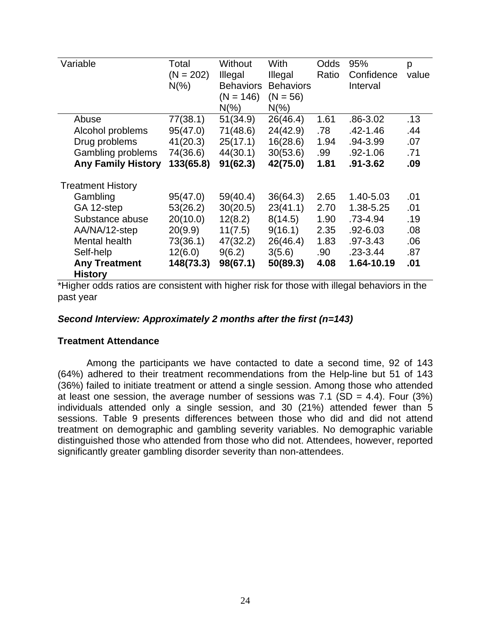| Variable                               | Total<br>$(N = 202)$<br>$N(\%)$ | <b>Without</b><br>Illegal<br><b>Behaviors</b><br>$(N = 146)$<br>$N(\%)$ | With<br>Illegal<br><b>Behaviors</b><br>$(N = 56)$<br>$N(\%)$ | Odds<br>Ratio    | 95%<br>Confidence<br>Interval | p<br>value |
|----------------------------------------|---------------------------------|-------------------------------------------------------------------------|--------------------------------------------------------------|------------------|-------------------------------|------------|
| Abuse                                  | 77(38.1)                        | 51(34.9)                                                                | 26(46.4)                                                     | 1.61             | .86-3.02                      | .13        |
| Alcohol problems                       | 95(47.0)                        | 71(48.6)                                                                | 24(42.9)                                                     | .78              | $.42 - 1.46$                  | .44        |
| Drug problems                          | 41(20.3)                        | 25(17.1)                                                                | 16(28.6)                                                     | 1.94             | .94-3.99                      | .07        |
| Gambling problems                      | 74(36.6)                        | 44(30.1)                                                                | 30(53.6)                                                     | .99              | $.92 - 1.06$                  | .71        |
| <b>Any Family History</b>              | 133(65.8)                       | 91(62.3)                                                                | 42(75.0)                                                     | 1.81             | $.91 - 3.62$                  | .09        |
| <b>Treatment History</b>               |                                 |                                                                         |                                                              |                  |                               |            |
| Gambling                               | 95(47.0)                        | 59(40.4)                                                                | 36(64.3)                                                     | 2.65             | 1.40-5.03                     | .01        |
| GA 12-step                             | 53(26.2)                        | 30(20.5)                                                                | 23(41.1)                                                     | 2.70             | 1.38-5.25                     | .01        |
| Substance abuse                        | 20(10.0)                        | 12(8.2)                                                                 | 8(14.5)                                                      | 1.90             | .73-4.94                      | .19        |
| AA/NA/12-step                          | 20(9.9)                         | 11(7.5)                                                                 | 9(16.1)                                                      | 2.35             | $.92 - 6.03$                  | .08        |
| Mental health                          | 73(36.1)                        | 47(32.2)                                                                | 26(46.4)                                                     | 1.83             | .97-3.43                      | .06        |
| Self-help                              | 12(6.0)                         | 9(6.2)                                                                  | 3(5.6)                                                       | .90 <sub>1</sub> | $.23 - 3.44$                  | .87        |
| <b>Any Treatment</b><br><b>History</b> | 148(73.3)                       | 98(67.1)                                                                | 50(89.3)                                                     | 4.08             | 1.64-10.19                    | .01        |

\*Higher odds ratios are consistent with higher risk for those with illegal behaviors in the past year

## *Second Interview: Approximately 2 months after the first (n=143)*

## **Treatment Attendance**

Among the participants we have contacted to date a second time, 92 of 143 (64%) adhered to their treatment recommendations from the Help-line but 51 of 143 (36%) failed to initiate treatment or attend a single session. Among those who attended at least one session, the average number of sessions was 7.1 (SD = 4.4). Four (3%) individuals attended only a single session, and 30 (21%) attended fewer than 5 sessions. Table 9 presents differences between those who did and did not attend treatment on demographic and gambling severity variables. No demographic variable distinguished those who attended from those who did not. Attendees, however, reported significantly greater gambling disorder severity than non-attendees.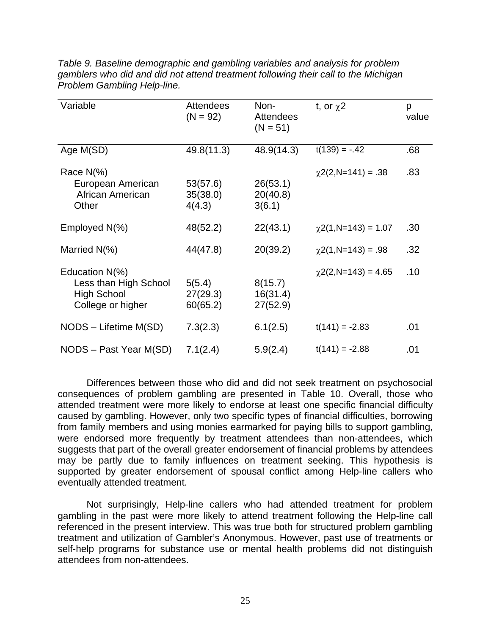| Variable                                                                           | <b>Attendees</b><br>$(N = 92)$ | Non-<br><b>Attendees</b><br>$(N = 51)$ | t, or $\chi$ 2            | p<br>value |
|------------------------------------------------------------------------------------|--------------------------------|----------------------------------------|---------------------------|------------|
| Age M(SD)                                                                          | 49.8(11.3)                     | 48.9(14.3)                             | $t(139) = -.42$           | .68        |
| Race $N(\%)$<br>European American<br>African American<br>Other                     | 53(57.6)<br>35(38.0)<br>4(4.3) | 26(53.1)<br>20(40.8)<br>3(6.1)         | $\chi$ 2(2,N=141) = .38   | .83        |
| Employed N(%)                                                                      | 48(52.2)                       | 22(43.1)                               | $\chi$ 2(1, N=143) = 1.07 | .30        |
| Married $N(\%)$                                                                    | 44(47.8)                       | 20(39.2)                               | $\chi$ 2(1, N=143) = .98  | .32        |
| Education N(%)<br>Less than High School<br><b>High School</b><br>College or higher | 5(5.4)<br>27(29.3)<br>60(65.2) | 8(15.7)<br>16(31.4)<br>27(52.9)        | $\chi$ 2(2, N=143) = 4.65 | .10        |
| NODS - Lifetime M(SD)                                                              | 7.3(2.3)                       | 6.1(2.5)                               | $t(141) = -2.83$          | .01        |
| NODS – Past Year M(SD)                                                             | 7.1(2.4)                       | 5.9(2.4)                               | $t(141) = -2.88$          | .01        |

*Table 9. Baseline demographic and gambling variables and analysis for problem gamblers who did and did not attend treatment following their call to the Michigan Problem Gambling Help-line.* 

 Differences between those who did and did not seek treatment on psychosocial consequences of problem gambling are presented in Table 10. Overall, those who attended treatment were more likely to endorse at least one specific financial difficulty caused by gambling. However, only two specific types of financial difficulties, borrowing from family members and using monies earmarked for paying bills to support gambling, were endorsed more frequently by treatment attendees than non-attendees, which suggests that part of the overall greater endorsement of financial problems by attendees may be partly due to family influences on treatment seeking. This hypothesis is supported by greater endorsement of spousal conflict among Help-line callers who eventually attended treatment.

 Not surprisingly, Help-line callers who had attended treatment for problem gambling in the past were more likely to attend treatment following the Help-line call referenced in the present interview. This was true both for structured problem gambling treatment and utilization of Gambler's Anonymous. However, past use of treatments or self-help programs for substance use or mental health problems did not distinguish attendees from non-attendees.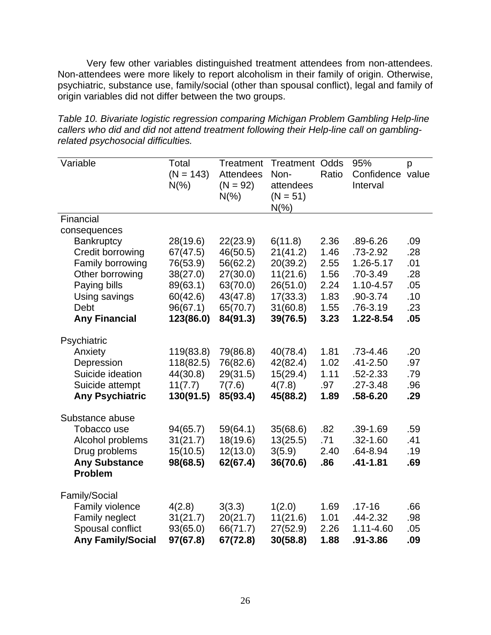Very few other variables distinguished treatment attendees from non-attendees. Non-attendees were more likely to report alcoholism in their family of origin. Otherwise, psychiatric, substance use, family/social (other than spousal conflict), legal and family of origin variables did not differ between the two groups.

| Variable               | Total<br>$(N = 143)$ | <b>Treatment</b><br>Attendees | Treatment<br>Non-                  | Odds<br>Ratio | 95%<br>Confidence value | p   |
|------------------------|----------------------|-------------------------------|------------------------------------|---------------|-------------------------|-----|
|                        | $N(\%)$              | $(N = 92)$<br>$N(\%)$         | attendees<br>$(N = 51)$<br>$N(\%)$ |               | Interval                |     |
| Financial              |                      |                               |                                    |               |                         |     |
| consequences           |                      |                               |                                    |               |                         |     |
| <b>Bankruptcy</b>      | 28(19.6)             | 22(23.9)                      | 6(11.8)                            | 2.36          | .89-6.26                | .09 |
| Credit borrowing       | 67(47.5)             | 46(50.5)                      | 21(41.2)                           | 1.46          | .73-2.92                | .28 |
| Family borrowing       | 76(53.9)             | 56(62.2)                      | 20(39.2)                           | 2.55          | 1.26-5.17               | .01 |
| Other borrowing        | 38(27.0)             | 27(30.0)                      | 11(21.6)                           | 1.56          | .70-3.49                | .28 |
| Paying bills           | 89(63.1)             | 63(70.0)                      | 26(51.0)                           | 2.24          | 1.10-4.57               | .05 |
| Using savings          | 60(42.6)             | 43(47.8)                      | 17(33.3)                           | 1.83          | .90-3.74                | .10 |
| <b>Debt</b>            | 96(67.1)             | 65(70.7)                      | 31(60.8)                           | 1.55          | .76-3.19                | .23 |
| <b>Any Financial</b>   | 123(86.0)            | 84(91.3)                      | 39(76.5)                           | 3.23          | 1.22-8.54               | .05 |
| Psychiatric            |                      |                               |                                    |               |                         |     |
| Anxiety                | 119(83.8)            | 79(86.8)                      | 40(78.4)                           | 1.81          | .73-4.46                | .20 |
| Depression             | 118(82.5)            | 76(82.6)                      | 42(82.4)                           | 1.02          | $.41 - 2.50$            | .97 |
| Suicide ideation       | 44(30.8)             | 29(31.5)                      | 15(29.4)                           | 1.11          | .52-2.33                | .79 |
| Suicide attempt        | 11(7.7)              | 7(7.6)                        | 4(7.8)                             | .97           | $.27 - 3.48$            | .96 |
| <b>Any Psychiatric</b> | 130(91.5)            | 85(93.4)                      | 45(88.2)                           | 1.89          | $.58 - 6.20$            | .29 |
| Substance abuse        |                      |                               |                                    |               |                         |     |
| Tobacco use            | 94(65.7)             | 59(64.1)                      | 35(68.6)                           | .82           | .39-1.69                | .59 |
| Alcohol problems       | 31(21.7)             | 18(19.6)                      | 13(25.5)                           | .71           | $.32 - 1.60$            | .41 |
| Drug problems          | 15(10.5)             | 12(13.0)                      | 3(5.9)                             | 2.40          | .64-8.94                | .19 |
| <b>Any Substance</b>   | 98(68.5)             | 62(67.4)                      | 36(70.6)                           | .86           | $.41 - 1.81$            | .69 |
| <b>Problem</b>         |                      |                               |                                    |               |                         |     |
| Family/Social          |                      |                               |                                    |               |                         |     |
| Family violence        | 4(2.8)               | 3(3.3)                        | 1(2.0)                             | 1.69          | $.17 - 16$              | .66 |
| Family neglect         | 31(21.7)             | 20(21.7)                      | 11(21.6)                           | 1.01          | $.44 - 2.32$            | .98 |
| Spousal conflict       | 93(65.0)             | 66(71.7)                      | 27(52.9)                           | 2.26          | 1.11-4.60               | .05 |

*Table 10. Bivariate logistic regression comparing Michigan Problem Gambling Help-line callers who did and did not attend treatment following their Help-line call on gamblingrelated psychosocial difficulties.* 

 **Any Family/Social 97(67.8) 67(72.8) 30(58.8) 1.88 .91-3.86 .09**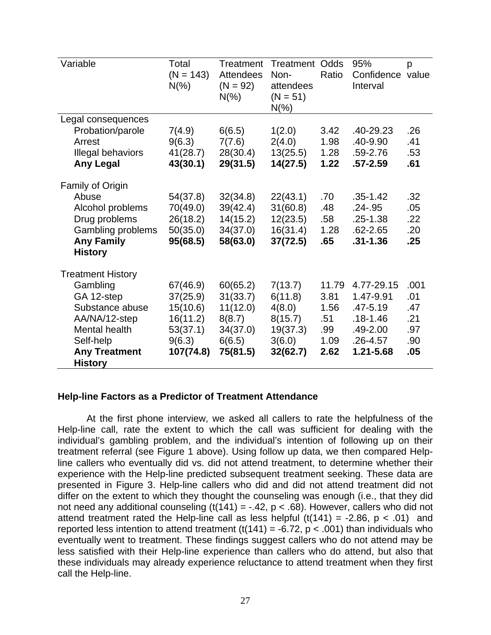| Variable                                                                                                                                                              | Total<br>$(N = 143)$<br>$N(\%)$                                                 | Treatment<br><b>Attendees</b><br>$(N = 92)$<br>$N(\%)$                       | Treatment<br>Non-<br>attendees<br>$(N = 51)$<br>$N(\%)$                   | Odds<br>Ratio                                       | 95%<br>Confidence value<br>Interval                                                          | p                                              |
|-----------------------------------------------------------------------------------------------------------------------------------------------------------------------|---------------------------------------------------------------------------------|------------------------------------------------------------------------------|---------------------------------------------------------------------------|-----------------------------------------------------|----------------------------------------------------------------------------------------------|------------------------------------------------|
| Legal consequences<br>Probation/parole<br>Arrest<br>Illegal behaviors<br><b>Any Legal</b>                                                                             | 7(4.9)<br>9(6.3)<br>41(28.7)<br>43(30.1)                                        | 6(6.5)<br>7(7.6)<br>28(30.4)<br>29(31.5)                                     | 1(2.0)<br>2(4.0)<br>13(25.5)<br>14(27.5)                                  | 3.42<br>1.98<br>1.28<br>1.22                        | .40-29.23<br>.40-9.90<br>$.59 - 2.76$<br>$.57 - 2.59$                                        | .26<br>.41<br>.53<br>.61                       |
| Family of Origin<br>Abuse<br>Alcohol problems<br>Drug problems<br>Gambling problems<br><b>Any Family</b><br><b>History</b>                                            | 54(37.8)<br>70(49.0)<br>26(18.2)<br>50(35.0)<br>95(68.5)                        | 32(34.8)<br>39(42.4)<br>14(15.2)<br>34(37.0)<br>58(63.0)                     | 22(43.1)<br>31(60.8)<br>12(23.5)<br>16(31.4)<br>37(72.5)                  | .70<br>.48<br>.58<br>1.28<br>.65                    | $.35 - 1.42$<br>$.24 - .95$<br>$.25 - 1.38$<br>$.62 - 2.65$<br>$.31 - 1.36$                  | .32<br>.05<br>.22<br>.20<br>.25                |
| <b>Treatment History</b><br>Gambling<br>GA 12-step<br>Substance abuse<br>AA/NA/12-step<br><b>Mental health</b><br>Self-help<br><b>Any Treatment</b><br><b>History</b> | 67(46.9)<br>37(25.9)<br>15(10.6)<br>16(11.2)<br>53(37.1)<br>9(6.3)<br>107(74.8) | 60(65.2)<br>31(33.7)<br>11(12.0)<br>8(8.7)<br>34(37.0)<br>6(6.5)<br>75(81.5) | 7(13.7)<br>6(11.8)<br>4(8.0)<br>8(15.7)<br>19(37.3)<br>3(6.0)<br>32(62.7) | 11.79<br>3.81<br>1.56<br>.51<br>.99<br>1.09<br>2.62 | 4.77-29.15<br>1.47-9.91<br>.47-5.19<br>$.18 - 1.46$<br>.49-2.00<br>$.26 - 4.57$<br>1.21-5.68 | .001<br>.01<br>.47<br>.21<br>.97<br>.90<br>.05 |

#### **Help-line Factors as a Predictor of Treatment Attendance**

 At the first phone interview, we asked all callers to rate the helpfulness of the Help-line call, rate the extent to which the call was sufficient for dealing with the individual's gambling problem, and the individual's intention of following up on their treatment referral (see Figure 1 above). Using follow up data, we then compared Helpline callers who eventually did vs. did not attend treatment, to determine whether their experience with the Help-line predicted subsequent treatment seeking. These data are presented in Figure 3. Help-line callers who did and did not attend treatment did not differ on the extent to which they thought the counseling was enough (i.e., that they did not need any additional counseling  $(t(141) = -.42, p < .68)$ . However, callers who did not attend treatment rated the Help-line call as less helpful  $(t(141) = -2.86, p < .01)$  and reported less intention to attend treatment (t(141) = -6.72,  $p < .001$ ) than individuals who eventually went to treatment. These findings suggest callers who do not attend may be less satisfied with their Help-line experience than callers who do attend, but also that these individuals may already experience reluctance to attend treatment when they first call the Help-line.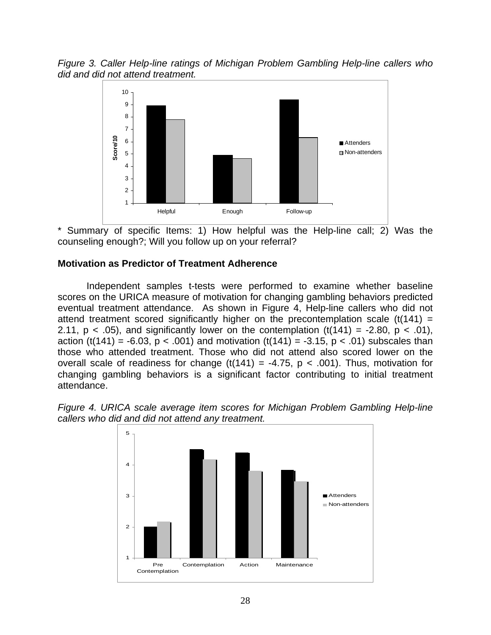*Figure 3. Caller Help-line ratings of Michigan Problem Gambling Help-line callers who did and did not attend treatment.* 



\* Summary of specific Items: 1) How helpful was the Help-line call; 2) Was the counseling enough?; Will you follow up on your referral?

# **Motivation as Predictor of Treatment Adherence**

Independent samples t-tests were performed to examine whether baseline scores on the URICA measure of motivation for changing gambling behaviors predicted eventual treatment attendance. As shown in Figure 4, Help-line callers who did not attend treatment scored significantly higher on the precontemplation scale  $(t(141) =$ 2.11,  $p < .05$ ), and significantly lower on the contemplation (t(141) = -2.80,  $p < .01$ ), action (t(141) = -6.03,  $p < .001$ ) and motivation (t(141) = -3.15,  $p < .01$ ) subscales than those who attended treatment. Those who did not attend also scored lower on the overall scale of readiness for change (t(141) = -4.75,  $p < .001$ ). Thus, motivation for changing gambling behaviors is a significant factor contributing to initial treatment attendance.



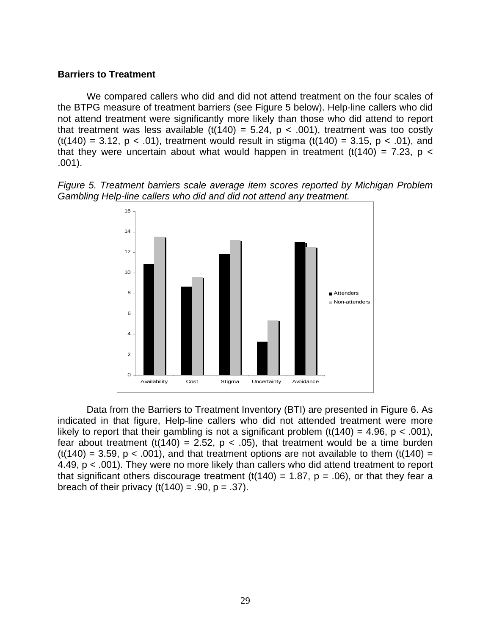#### **Barriers to Treatment**

We compared callers who did and did not attend treatment on the four scales of the BTPG measure of treatment barriers (see Figure 5 below). Help-line callers who did not attend treatment were significantly more likely than those who did attend to report that treatment was less available  $(t(140) = 5.24, p < .001)$ , treatment was too costly (t(140) = 3.12, p < .01), treatment would result in stigma (t(140) = 3.15, p < .01), and that they were uncertain about what would happen in treatment (t(140) = 7.23,  $p \lt$ .001).

*Figure 5. Treatment barriers scale average item scores reported by Michigan Problem Gambling Help-line callers who did and did not attend any treatment.* 



Data from the Barriers to Treatment Inventory (BTI) are presented in Figure 6. As indicated in that figure, Help-line callers who did not attended treatment were more likely to report that their gambling is not a significant problem  $(t(140) = 4.96, p < .001)$ , fear about treatment (t(140) = 2.52,  $p < .05$ ), that treatment would be a time burden  $(t(140) = 3.59, p < .001)$ , and that treatment options are not available to them  $(t(140) =$ 4.49, p < .001). They were no more likely than callers who did attend treatment to report that significant others discourage treatment (t(140) = 1.87,  $p = .06$ ), or that they fear a breach of their privacy  $(t(140) = .90, p = .37)$ .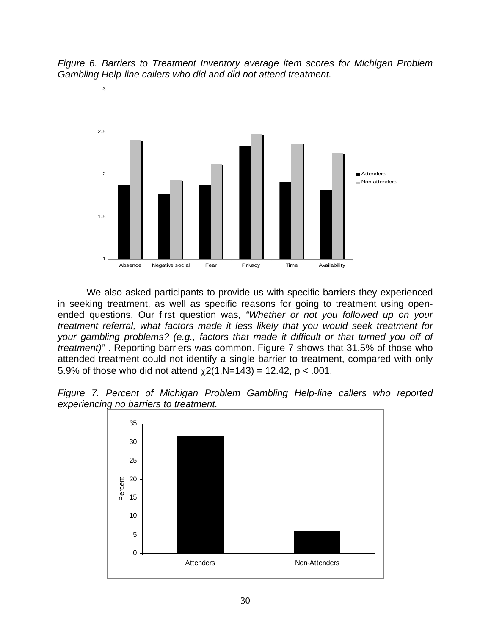*Figure 6. Barriers to Treatment Inventory average item scores for Michigan Problem Gambling Help-line callers who did and did not attend treatment.* 



We also asked participants to provide us with specific barriers they experienced in seeking treatment, as well as specific reasons for going to treatment using openended questions. Our first question was, *"Whether or not you followed up on your treatment referral, what factors made it less likely that you would seek treatment for your gambling problems? (e.g., factors that made it difficult or that turned you off of treatment)"* . Reporting barriers was common. Figure 7 shows that 31.5% of those who attended treatment could not identify a single barrier to treatment, compared with only 5.9% of those who did not attend  $\chi$ 2(1,N=143) = 12.42, p < .001.



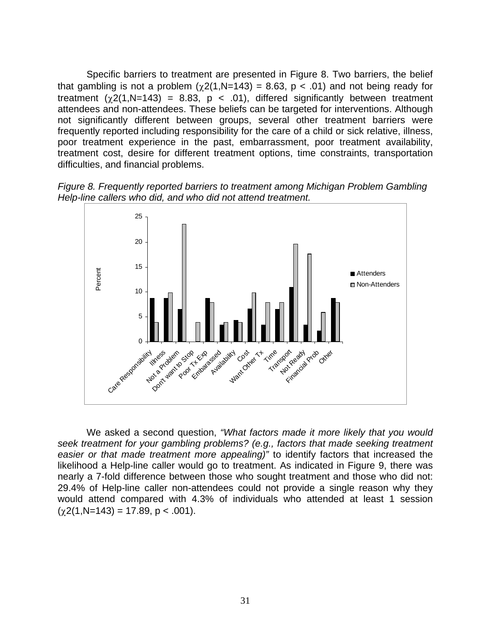Specific barriers to treatment are presented in Figure 8. Two barriers, the belief that gambling is not a problem  $(\gamma 2(1, N=143) = 8.63, p < .01)$  and not being ready for treatment ( $\chi$ 2(1,N=143) = 8.83, p < .01), differed significantly between treatment attendees and non-attendees. These beliefs can be targeted for interventions. Although not significantly different between groups, several other treatment barriers were frequently reported including responsibility for the care of a child or sick relative, illness, poor treatment experience in the past, embarrassment, poor treatment availability, treatment cost, desire for different treatment options, time constraints, transportation difficulties, and financial problems.





We asked a second question, *"What factors made it more likely that you would seek treatment for your gambling problems? (e.g., factors that made seeking treatment easier or that made treatment more appealing)"* to identify factors that increased the likelihood a Help-line caller would go to treatment. As indicated in Figure 9, there was nearly a 7-fold difference between those who sought treatment and those who did not: 29.4% of Help-line caller non-attendees could not provide a single reason why they would attend compared with 4.3% of individuals who attended at least 1 session  $(\gamma 2(1, N=143) = 17.89, p < .001)$ .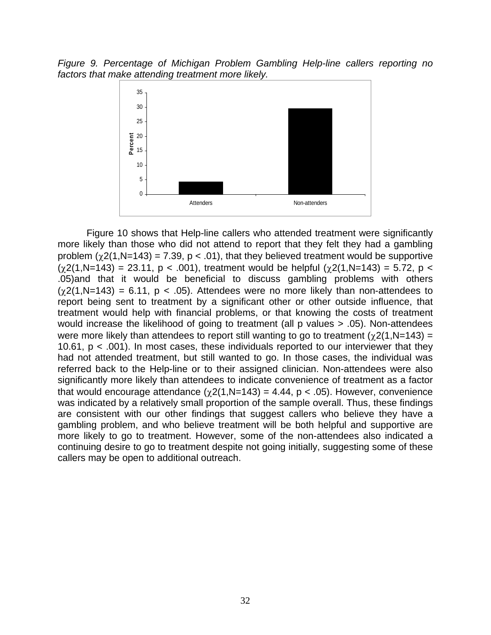*Figure 9. Percentage of Michigan Problem Gambling Help-line callers reporting no factors that make attending treatment more likely.* 



Figure 10 shows that Help-line callers who attended treatment were significantly more likely than those who did not attend to report that they felt they had a gambling problem  $(\gamma 2(1, N=143) = 7.39, p < .01)$ , that they believed treatment would be supportive  $(\gamma 2(1, N=143) = 23.11, p < .001)$ , treatment would be helpful  $(\gamma 2(1, N=143) = 5.72, p < .001)$ .05)and that it would be beneficial to discuss gambling problems with others  $(\gamma 2(1, N=143) = 6.11, p < .05)$ . Attendees were no more likely than non-attendees to report being sent to treatment by a significant other or other outside influence, that treatment would help with financial problems, or that knowing the costs of treatment would increase the likelihood of going to treatment (all p values > .05). Non-attendees were more likely than attendees to report still wanting to go to treatment ( $\gamma$ 2(1,N=143) = 10.61,  $p < .001$ ). In most cases, these individuals reported to our interviewer that they had not attended treatment, but still wanted to go. In those cases, the individual was referred back to the Help-line or to their assigned clinician. Non-attendees were also significantly more likely than attendees to indicate convenience of treatment as a factor that would encourage attendance  $(\chi 2(1, N=143) = 4.44, p < .05)$ . However, convenience was indicated by a relatively small proportion of the sample overall. Thus, these findings are consistent with our other findings that suggest callers who believe they have a gambling problem, and who believe treatment will be both helpful and supportive are more likely to go to treatment. However, some of the non-attendees also indicated a continuing desire to go to treatment despite not going initially, suggesting some of these callers may be open to additional outreach.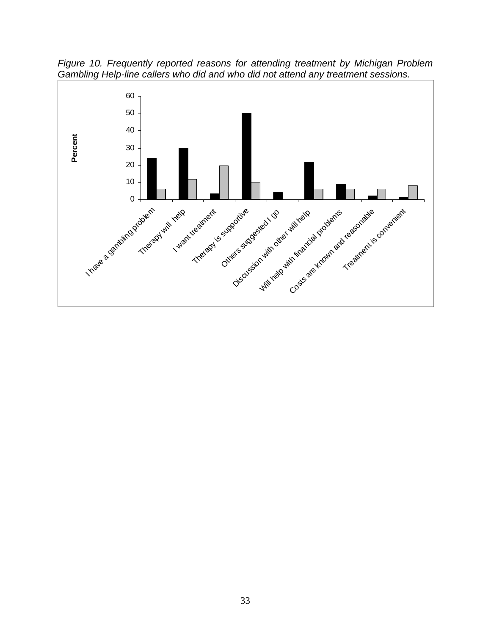

*Figure 10. Frequently reported reasons for attending treatment by Michigan Problem Gambling Help-line callers who did and who did not attend any treatment sessions.*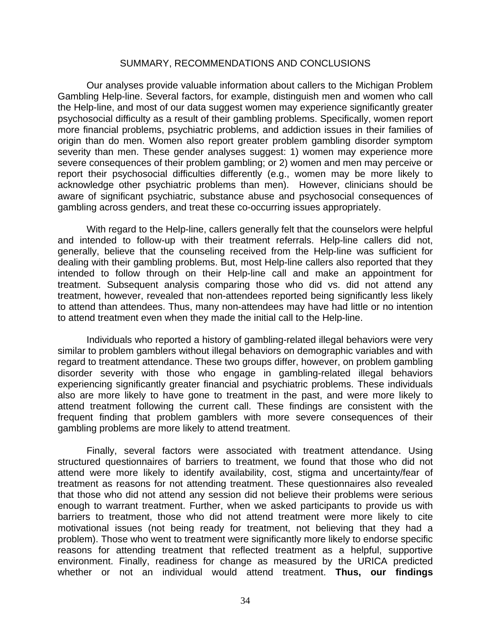#### SUMMARY, RECOMMENDATIONS AND CONCLUSIONS

Our analyses provide valuable information about callers to the Michigan Problem Gambling Help-line. Several factors, for example, distinguish men and women who call the Help-line, and most of our data suggest women may experience significantly greater psychosocial difficulty as a result of their gambling problems. Specifically, women report more financial problems, psychiatric problems, and addiction issues in their families of origin than do men. Women also report greater problem gambling disorder symptom severity than men. These gender analyses suggest: 1) women may experience more severe consequences of their problem gambling; or 2) women and men may perceive or report their psychosocial difficulties differently (e.g., women may be more likely to acknowledge other psychiatric problems than men). However, clinicians should be aware of significant psychiatric, substance abuse and psychosocial consequences of gambling across genders, and treat these co-occurring issues appropriately.

With regard to the Help-line, callers generally felt that the counselors were helpful and intended to follow-up with their treatment referrals. Help-line callers did not, generally, believe that the counseling received from the Help-line was sufficient for dealing with their gambling problems. But, most Help-line callers also reported that they intended to follow through on their Help-line call and make an appointment for treatment. Subsequent analysis comparing those who did vs. did not attend any treatment, however, revealed that non-attendees reported being significantly less likely to attend than attendees. Thus, many non-attendees may have had little or no intention to attend treatment even when they made the initial call to the Help-line.

Individuals who reported a history of gambling-related illegal behaviors were very similar to problem gamblers without illegal behaviors on demographic variables and with regard to treatment attendance. These two groups differ, however, on problem gambling disorder severity with those who engage in gambling-related illegal behaviors experiencing significantly greater financial and psychiatric problems. These individuals also are more likely to have gone to treatment in the past, and were more likely to attend treatment following the current call. These findings are consistent with the frequent finding that problem gamblers with more severe consequences of their gambling problems are more likely to attend treatment.

Finally, several factors were associated with treatment attendance. Using structured questionnaires of barriers to treatment, we found that those who did not attend were more likely to identify availability, cost, stigma and uncertainty/fear of treatment as reasons for not attending treatment. These questionnaires also revealed that those who did not attend any session did not believe their problems were serious enough to warrant treatment. Further, when we asked participants to provide us with barriers to treatment, those who did not attend treatment were more likely to cite motivational issues (not being ready for treatment, not believing that they had a problem). Those who went to treatment were significantly more likely to endorse specific reasons for attending treatment that reflected treatment as a helpful, supportive environment. Finally, readiness for change as measured by the URICA predicted whether or not an individual would attend treatment. **Thus, our findings**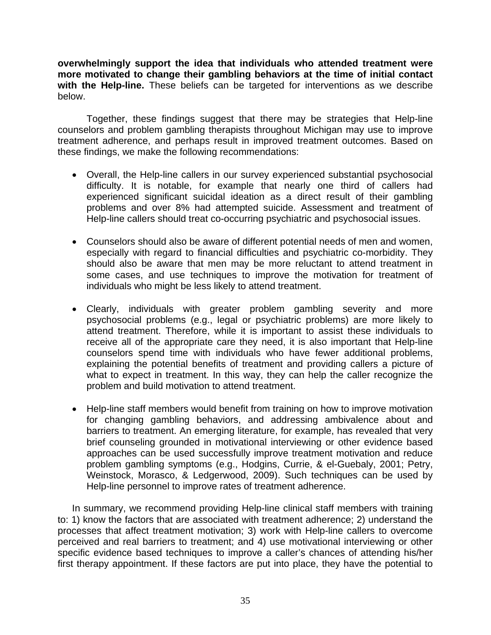**overwhelmingly support the idea that individuals who attended treatment were more motivated to change their gambling behaviors at the time of initial contact with the Help-line.** These beliefs can be targeted for interventions as we describe below.

Together, these findings suggest that there may be strategies that Help-line counselors and problem gambling therapists throughout Michigan may use to improve treatment adherence, and perhaps result in improved treatment outcomes. Based on these findings, we make the following recommendations:

- Overall, the Help-line callers in our survey experienced substantial psychosocial difficulty. It is notable, for example that nearly one third of callers had experienced significant suicidal ideation as a direct result of their gambling problems and over 8% had attempted suicide. Assessment and treatment of Help-line callers should treat co-occurring psychiatric and psychosocial issues.
- Counselors should also be aware of different potential needs of men and women, especially with regard to financial difficulties and psychiatric co-morbidity. They should also be aware that men may be more reluctant to attend treatment in some cases, and use techniques to improve the motivation for treatment of individuals who might be less likely to attend treatment.
- Clearly, individuals with greater problem gambling severity and more psychosocial problems (e.g., legal or psychiatric problems) are more likely to attend treatment. Therefore, while it is important to assist these individuals to receive all of the appropriate care they need, it is also important that Help-line counselors spend time with individuals who have fewer additional problems, explaining the potential benefits of treatment and providing callers a picture of what to expect in treatment. In this way, they can help the caller recognize the problem and build motivation to attend treatment.
- Help-line staff members would benefit from training on how to improve motivation for changing gambling behaviors, and addressing ambivalence about and barriers to treatment. An emerging literature, for example, has revealed that very brief counseling grounded in motivational interviewing or other evidence based approaches can be used successfully improve treatment motivation and reduce problem gambling symptoms (e.g., Hodgins, Currie, & el-Guebaly, 2001; Petry, Weinstock, Morasco, & Ledgerwood, 2009). Such techniques can be used by Help-line personnel to improve rates of treatment adherence.

In summary, we recommend providing Help-line clinical staff members with training to: 1) know the factors that are associated with treatment adherence; 2) understand the processes that affect treatment motivation; 3) work with Help-line callers to overcome perceived and real barriers to treatment; and 4) use motivational interviewing or other specific evidence based techniques to improve a caller's chances of attending his/her first therapy appointment. If these factors are put into place, they have the potential to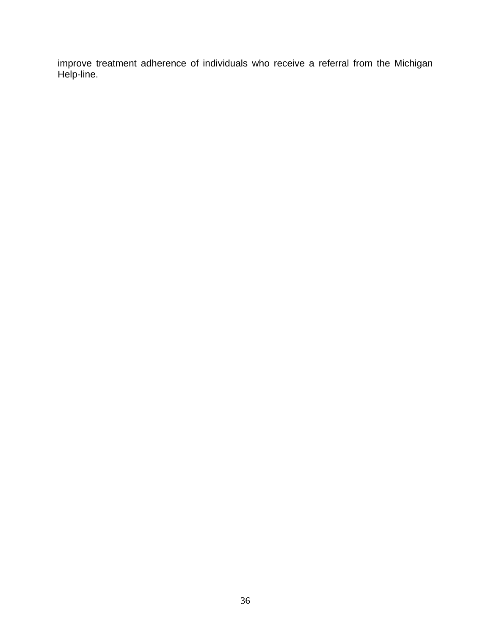improve treatment adherence of individuals who receive a referral from the Michigan Help-line.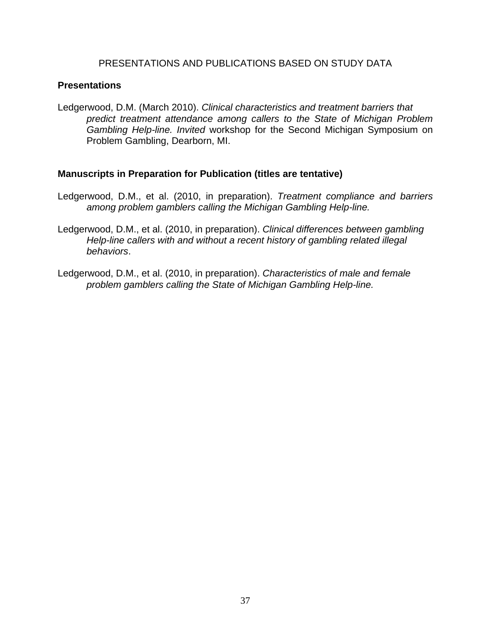## PRESENTATIONS AND PUBLICATIONS BASED ON STUDY DATA

# **Presentations**

Ledgerwood, D.M. (March 2010). *Clinical characteristics and treatment barriers that predict treatment attendance among callers to the State of Michigan Problem Gambling Help-line. Invited* workshop for the Second Michigan Symposium on Problem Gambling, Dearborn, MI.

# **Manuscripts in Preparation for Publication (titles are tentative)**

- Ledgerwood, D.M., et al. (2010, in preparation). *Treatment compliance and barriers among problem gamblers calling the Michigan Gambling Help-line.*
- Ledgerwood, D.M., et al. (2010, in preparation). *Clinical differences between gambling Help-line callers with and without a recent history of gambling related illegal behaviors*.
- Ledgerwood, D.M., et al. (2010, in preparation). *Characteristics of male and female problem gamblers calling the State of Michigan Gambling Help-line.*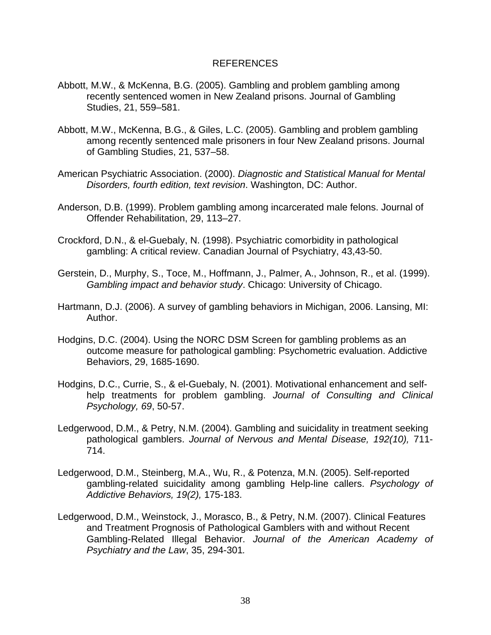#### REFERENCES

- Abbott, M.W., & McKenna, B.G. (2005). Gambling and problem gambling among recently sentenced women in New Zealand prisons. Journal of Gambling Studies, 21, 559–581.
- Abbott, M.W., McKenna, B.G., & Giles, L.C. (2005). Gambling and problem gambling among recently sentenced male prisoners in four New Zealand prisons. Journal of Gambling Studies, 21, 537–58.
- American Psychiatric Association. (2000). *Diagnostic and Statistical Manual for Mental Disorders, fourth edition, text revision*. Washington, DC: Author.
- Anderson, D.B. (1999). Problem gambling among incarcerated male felons. Journal of Offender Rehabilitation, 29, 113–27.
- Crockford, D.N., & el-Guebaly, N. (1998). Psychiatric comorbidity in pathological gambling: A critical review. Canadian Journal of Psychiatry, 43,43-50.
- Gerstein, D., Murphy, S., Toce, M., Hoffmann, J., Palmer, A., Johnson, R., et al. (1999). *Gambling impact and behavior study*. Chicago: University of Chicago.
- Hartmann, D.J. (2006). A survey of gambling behaviors in Michigan, 2006. Lansing, MI: Author.
- Hodgins, D.C. (2004). Using the NORC DSM Screen for gambling problems as an outcome measure for pathological gambling: Psychometric evaluation. Addictive Behaviors, 29, 1685-1690.
- Hodgins, D.C., Currie, S., & el-Guebaly, N. (2001). Motivational enhancement and selfhelp treatments for problem gambling. *Journal of Consulting and Clinical Psychology, 69*, 50-57.
- Ledgerwood, D.M., & Petry, N.M. (2004). Gambling and suicidality in treatment seeking pathological gamblers. *Journal of Nervous and Mental Disease, 192(10),* 711- 714.
- Ledgerwood, D.M., Steinberg, M.A., Wu, R., & Potenza, M.N. (2005). Self-reported gambling-related suicidality among gambling Help-line callers. *Psychology of Addictive Behaviors, 19(2),* 175-183.
- Ledgerwood, D.M., Weinstock, J., Morasco, B., & Petry, N.M. (2007). Clinical Features and Treatment Prognosis of Pathological Gamblers with and without Recent Gambling-Related Illegal Behavior. *Journal of the American Academy of Psychiatry and the Law*, 35, 294-301*.*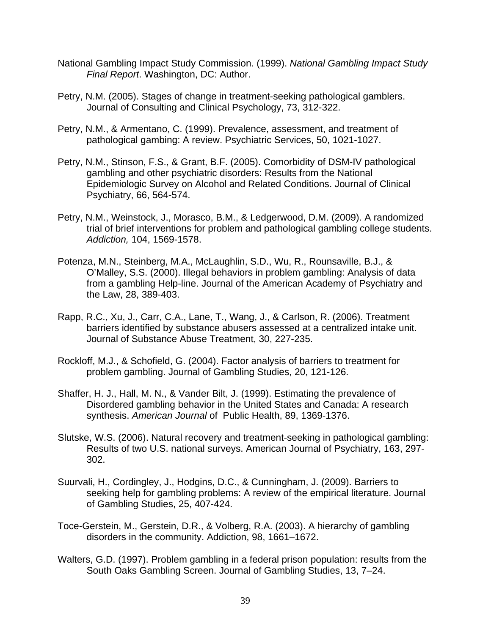- National Gambling Impact Study Commission. (1999). *National Gambling Impact Study Final Report*. Washington, DC: Author.
- Petry, N.M. (2005). Stages of change in treatment-seeking pathological gamblers. Journal of Consulting and Clinical Psychology, 73, 312-322.
- Petry, N.M., & Armentano, C. (1999). Prevalence, assessment, and treatment of pathological gambing: A review. Psychiatric Services, 50, 1021-1027.
- Petry, N.M., Stinson, F.S., & Grant, B.F. (2005). Comorbidity of DSM-IV pathological gambling and other psychiatric disorders: Results from the National Epidemiologic Survey on Alcohol and Related Conditions. Journal of Clinical Psychiatry, 66, 564-574.
- Petry, N.M., Weinstock, J., Morasco, B.M., & Ledgerwood, D.M. (2009). A randomized trial of brief interventions for problem and pathological gambling college students. *Addiction,* 104, 1569-1578.
- Potenza, M.N., Steinberg, M.A., McLaughlin, S.D., Wu, R., Rounsaville, B.J., & O'Malley, S.S. (2000). Illegal behaviors in problem gambling: Analysis of data from a gambling Help-line. Journal of the American Academy of Psychiatry and the Law, 28, 389-403.
- Rapp, R.C., Xu, J., Carr, C.A., Lane, T., Wang, J., & Carlson, R. (2006). Treatment barriers identified by substance abusers assessed at a centralized intake unit. Journal of Substance Abuse Treatment, 30, 227-235.
- Rockloff, M.J., & Schofield, G. (2004). Factor analysis of barriers to treatment for problem gambling. Journal of Gambling Studies, 20, 121-126.
- Shaffer, H. J., Hall, M. N., & Vander Bilt, J. (1999). Estimating the prevalence of Disordered gambling behavior in the United States and Canada: A research synthesis. *American Journal* of Public Health, 89, 1369-1376.
- Slutske, W.S. (2006). Natural recovery and treatment-seeking in pathological gambling: Results of two U.S. national surveys. American Journal of Psychiatry, 163, 297- 302.
- Suurvali, H., Cordingley, J., Hodgins, D.C., & Cunningham, J. (2009). Barriers to seeking help for gambling problems: A review of the empirical literature. Journal of Gambling Studies, 25, 407-424.
- Toce-Gerstein, M., Gerstein, D.R., & Volberg, R.A. (2003). A hierarchy of gambling disorders in the community. Addiction, 98, 1661–1672.
- Walters, G.D. (1997). Problem gambling in a federal prison population: results from the South Oaks Gambling Screen. Journal of Gambling Studies, 13, 7–24.